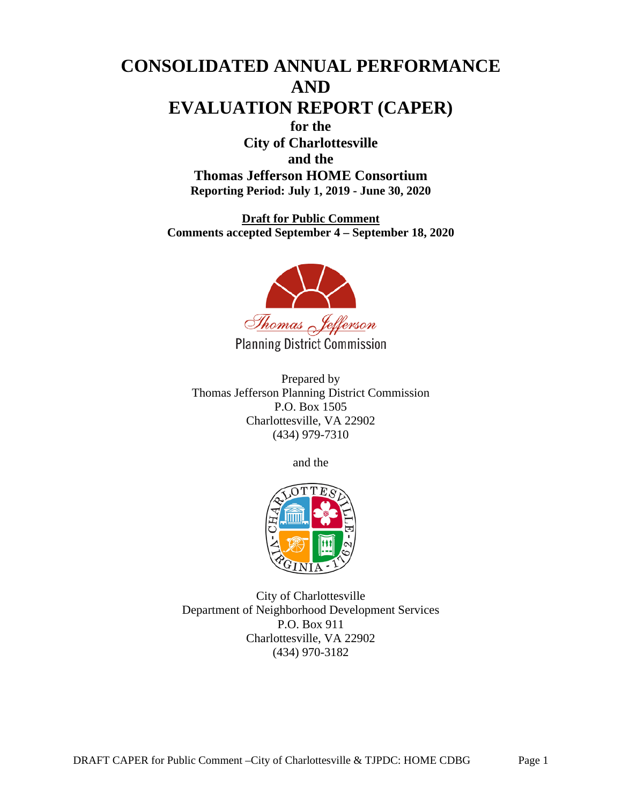# **CONSOLIDATED ANNUAL PERFORMANCE AND EVALUATION REPORT (CAPER) for the City of Charlottesville and the Thomas Jefferson HOME Consortium Reporting Period: July 1, 2019 - June 30, 2020**

**Draft for Public Comment Comments accepted September 4 – September 18, 2020**



**Planning District Commission** 

Prepared by Thomas Jefferson Planning District Commission P.O. Box 1505 Charlottesville, VA 22902 (434) 979-7310

and the



City of Charlottesville Department of Neighborhood Development Services P.O. Box 911 Charlottesville, VA 22902 (434) 970-3182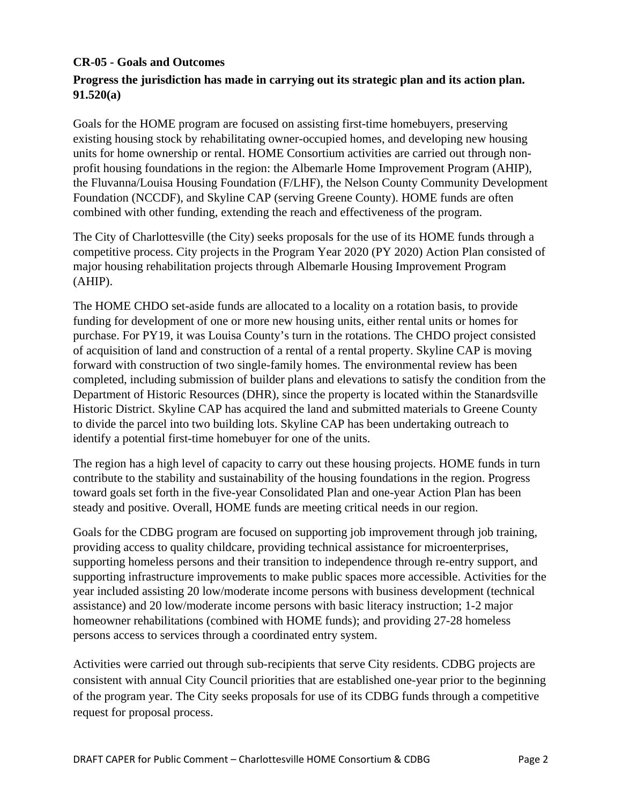#### **CR-05 - Goals and Outcomes**

# **Progress the jurisdiction has made in carrying out its strategic plan and its action plan. 91.520(a)**

Goals for the HOME program are focused on assisting first-time homebuyers, preserving existing housing stock by rehabilitating owner-occupied homes, and developing new housing units for home ownership or rental. HOME Consortium activities are carried out through nonprofit housing foundations in the region: the Albemarle Home Improvement Program (AHIP), the Fluvanna/Louisa Housing Foundation (F/LHF), the Nelson County Community Development Foundation (NCCDF), and Skyline CAP (serving Greene County). HOME funds are often combined with other funding, extending the reach and effectiveness of the program.

The City of Charlottesville (the City) seeks proposals for the use of its HOME funds through a competitive process. City projects in the Program Year 2020 (PY 2020) Action Plan consisted of major housing rehabilitation projects through Albemarle Housing Improvement Program (AHIP).

The HOME CHDO set-aside funds are allocated to a locality on a rotation basis, to provide funding for development of one or more new housing units, either rental units or homes for purchase. For PY19, it was Louisa County's turn in the rotations. The CHDO project consisted of acquisition of land and construction of a rental of a rental property. Skyline CAP is moving forward with construction of two single-family homes. The environmental review has been completed, including submission of builder plans and elevations to satisfy the condition from the Department of Historic Resources (DHR), since the property is located within the Stanardsville Historic District. Skyline CAP has acquired the land and submitted materials to Greene County to divide the parcel into two building lots. Skyline CAP has been undertaking outreach to identify a potential first-time homebuyer for one of the units.

The region has a high level of capacity to carry out these housing projects. HOME funds in turn contribute to the stability and sustainability of the housing foundations in the region. Progress toward goals set forth in the five-year Consolidated Plan and one-year Action Plan has been steady and positive. Overall, HOME funds are meeting critical needs in our region.

Goals for the CDBG program are focused on supporting job improvement through job training, providing access to quality childcare, providing technical assistance for microenterprises, supporting homeless persons and their transition to independence through re-entry support, and supporting infrastructure improvements to make public spaces more accessible. Activities for the year included assisting 20 low/moderate income persons with business development (technical assistance) and 20 low/moderate income persons with basic literacy instruction; 1-2 major homeowner rehabilitations (combined with HOME funds); and providing 27-28 homeless persons access to services through a coordinated entry system.

Activities were carried out through sub-recipients that serve City residents. CDBG projects are consistent with annual City Council priorities that are established one-year prior to the beginning of the program year. The City seeks proposals for use of its CDBG funds through a competitive request for proposal process.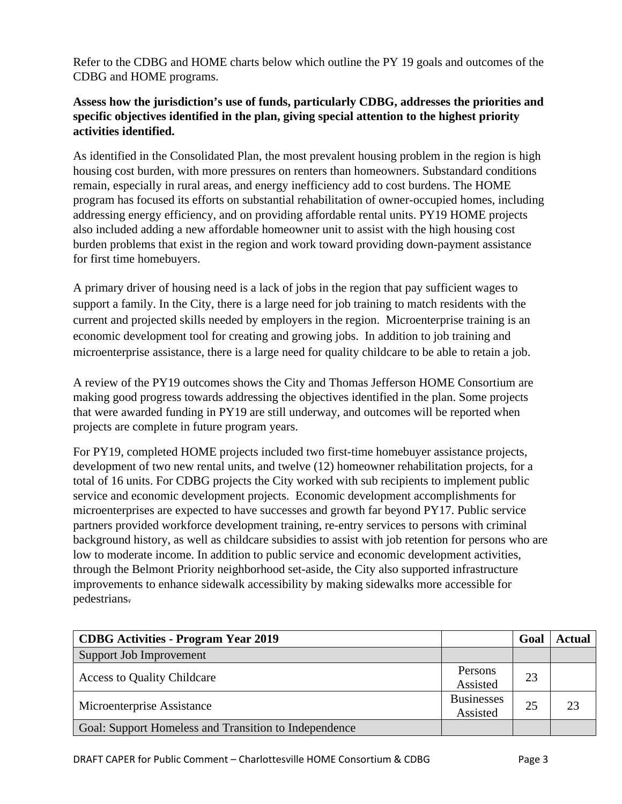Refer to the CDBG and HOME charts below which outline the PY 19 goals and outcomes of the CDBG and HOME programs.

# **Assess how the jurisdiction's use of funds, particularly CDBG, addresses the priorities and specific objectives identified in the plan, giving special attention to the highest priority activities identified.**

As identified in the Consolidated Plan, the most prevalent housing problem in the region is high housing cost burden, with more pressures on renters than homeowners. Substandard conditions remain, especially in rural areas, and energy inefficiency add to cost burdens. The HOME program has focused its efforts on substantial rehabilitation of owner-occupied homes, including addressing energy efficiency, and on providing affordable rental units. PY19 HOME projects also included adding a new affordable homeowner unit to assist with the high housing cost burden problems that exist in the region and work toward providing down-payment assistance for first time homebuyers.

A primary driver of housing need is a lack of jobs in the region that pay sufficient wages to support a family. In the City, there is a large need for job training to match residents with the current and projected skills needed by employers in the region. Microenterprise training is an economic development tool for creating and growing jobs. In addition to job training and microenterprise assistance, there is a large need for quality childcare to be able to retain a job.

A review of the PY19 outcomes shows the City and Thomas Jefferson HOME Consortium are making good progress towards addressing the objectives identified in the plan. Some projects that were awarded funding in PY19 are still underway, and outcomes will be reported when projects are complete in future program years.

For PY19, completed HOME projects included two first-time homebuyer assistance projects, development of two new rental units, and twelve (12) homeowner rehabilitation projects, for a total of 16 units. For CDBG projects the City worked with sub recipients to implement public service and economic development projects. Economic development accomplishments for microenterprises are expected to have successes and growth far beyond PY17. Public service partners provided workforce development training, re-entry services to persons with criminal background history, as well as childcare subsidies to assist with job retention for persons who are low to moderate income. In addition to public service and economic development activities, through the Belmont Priority neighborhood set-aside, the City also supported infrastructure improvements to enhance sidewalk accessibility by making sidewalks more accessible for pedestrians.

| <b>CDBG Activities - Program Year 2019</b>            |                               | Goal | <b>Actual</b> |
|-------------------------------------------------------|-------------------------------|------|---------------|
| Support Job Improvement                               |                               |      |               |
| <b>Access to Quality Childcare</b>                    | Persons<br>Assisted           | 23   |               |
| Microenterprise Assistance                            | <b>Businesses</b><br>Assisted | 25   | 23            |
| Goal: Support Homeless and Transition to Independence |                               |      |               |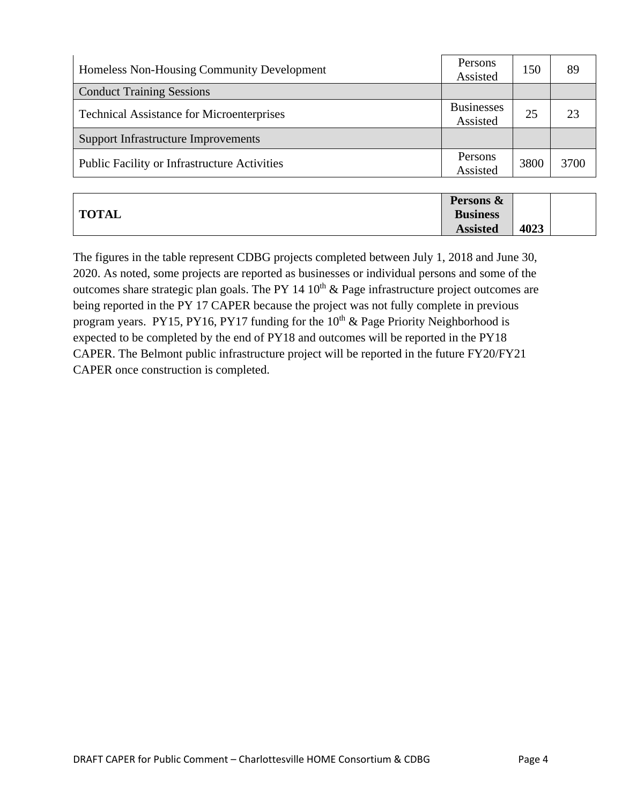| Homeless Non-Housing Community Development          | Persons<br>Assisted           | 150  | 89   |
|-----------------------------------------------------|-------------------------------|------|------|
| <b>Conduct Training Sessions</b>                    |                               |      |      |
| <b>Technical Assistance for Microenterprises</b>    | <b>Businesses</b><br>Assisted | 25   | 23   |
| <b>Support Infrastructure Improvements</b>          |                               |      |      |
| <b>Public Facility or Infrastructure Activities</b> | Persons<br>Assisted           | 3800 | 3700 |

|              | Persons &       |      |  |
|--------------|-----------------|------|--|
| <b>TOTAL</b> | <b>Business</b> |      |  |
|              | <b>Assisted</b> | 4023 |  |

The figures in the table represent CDBG projects completed between July 1, 2018 and June 30, 2020. As noted, some projects are reported as businesses or individual persons and some of the outcomes share strategic plan goals. The PY 14  $10<sup>th</sup>$  & Page infrastructure project outcomes are being reported in the PY 17 CAPER because the project was not fully complete in previous program years. PY15, PY16, PY17 funding for the  $10<sup>th</sup>$  & Page Priority Neighborhood is expected to be completed by the end of PY18 and outcomes will be reported in the PY18 CAPER. The Belmont public infrastructure project will be reported in the future FY20/FY21 CAPER once construction is completed.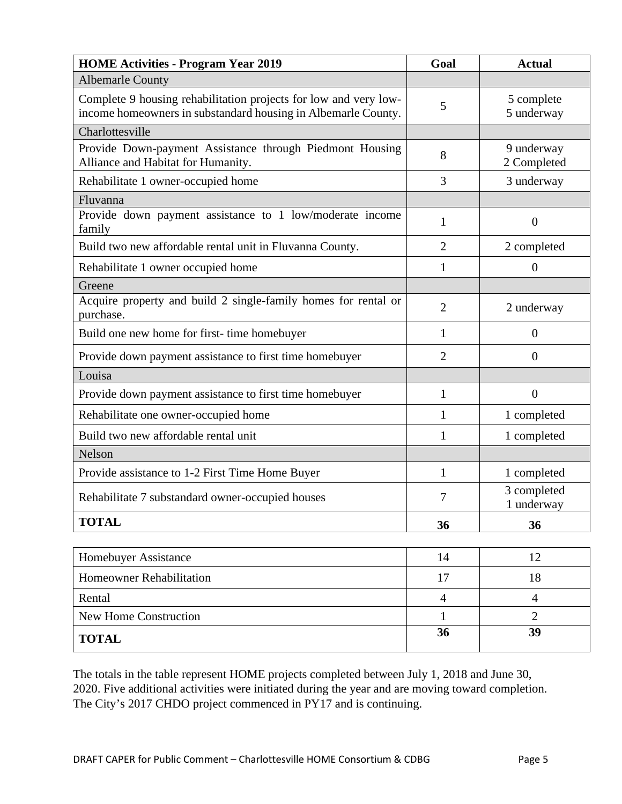| <b>HOME Activities - Program Year 2019</b>                                                                                        | Goal           | <b>Actual</b>             |
|-----------------------------------------------------------------------------------------------------------------------------------|----------------|---------------------------|
| <b>Albemarle County</b>                                                                                                           |                |                           |
| Complete 9 housing rehabilitation projects for low and very low-<br>income homeowners in substandard housing in Albemarle County. | 5              | 5 complete<br>5 underway  |
| Charlottesville                                                                                                                   |                |                           |
| Provide Down-payment Assistance through Piedmont Housing<br>Alliance and Habitat for Humanity.                                    | 8              | 9 underway<br>2 Completed |
| Rehabilitate 1 owner-occupied home                                                                                                | 3              | 3 underway                |
| Fluvanna                                                                                                                          |                |                           |
| Provide down payment assistance to 1 low/moderate income<br>family                                                                | 1              | $\mathbf{0}$              |
| Build two new affordable rental unit in Fluvanna County.                                                                          | $\overline{2}$ | 2 completed               |
| Rehabilitate 1 owner occupied home                                                                                                | $\mathbf{1}$   | $\overline{0}$            |
| Greene                                                                                                                            |                |                           |
| Acquire property and build 2 single-family homes for rental or<br>purchase.                                                       | $\overline{2}$ | 2 underway                |
| Build one new home for first-time homebuyer                                                                                       | 1              | $\overline{0}$            |
| Provide down payment assistance to first time homebuyer                                                                           | $\overline{2}$ | $\overline{0}$            |
| Louisa                                                                                                                            |                |                           |
| Provide down payment assistance to first time homebuyer                                                                           | $\mathbf{1}$   | $\overline{0}$            |
| Rehabilitate one owner-occupied home                                                                                              | $\mathbf{1}$   | 1 completed               |
| Build two new affordable rental unit                                                                                              | 1              | 1 completed               |
| Nelson                                                                                                                            |                |                           |
| Provide assistance to 1-2 First Time Home Buyer                                                                                   | 1              | 1 completed               |
| Rehabilitate 7 substandard owner-occupied houses                                                                                  | $\tau$         | 3 completed<br>1 underway |
| <b>TOTAL</b>                                                                                                                      | 36             | 36                        |

| <b>Homebuyer Assistance</b>     | 14 |    |
|---------------------------------|----|----|
| <b>Homeowner Rehabilitation</b> | 17 |    |
| Rental                          |    |    |
| New Home Construction           |    |    |
| <b>TOTAL</b>                    | 36 | 39 |

The totals in the table represent HOME projects completed between July 1, 2018 and June 30, 2020. Five additional activities were initiated during the year and are moving toward completion. The City's 2017 CHDO project commenced in PY17 and is continuing.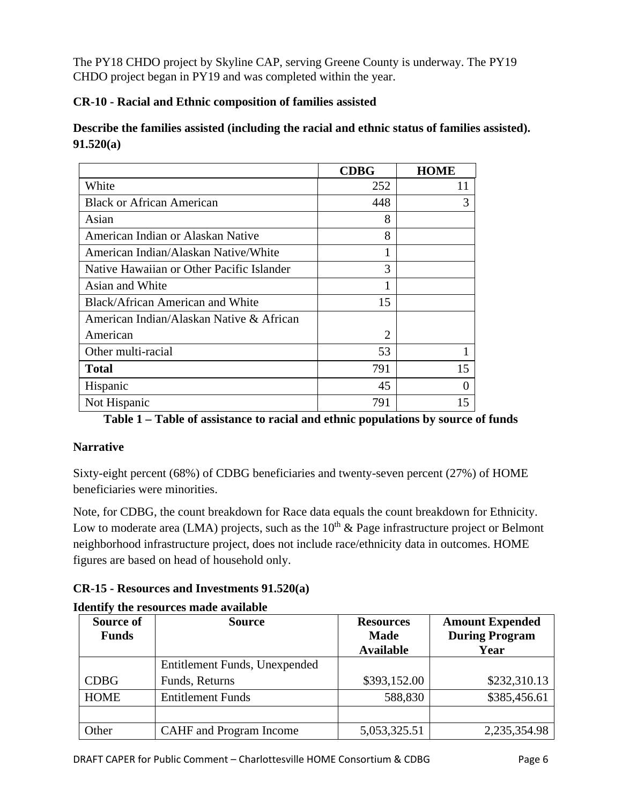The PY18 CHDO project by Skyline CAP, serving Greene County is underway. The PY19 CHDO project began in PY19 and was completed within the year.

## **CR-10 - Racial and Ethnic composition of families assisted**

**Describe the families assisted (including the racial and ethnic status of families assisted). 91.520(a)** 

|                                           | <b>CDBG</b> | <b>HOME</b> |
|-------------------------------------------|-------------|-------------|
| White                                     | 252         | 11          |
| <b>Black or African American</b>          | 448         | 3           |
| Asian                                     | 8           |             |
| American Indian or Alaskan Native         | 8           |             |
| American Indian/Alaskan Native/White      |             |             |
| Native Hawaiian or Other Pacific Islander | 3           |             |
| Asian and White                           | 1           |             |
| <b>Black/African American and White</b>   | 15          |             |
| American Indian/Alaskan Native & African  |             |             |
| American                                  | 2           |             |
| Other multi-racial                        | 53          |             |
| <b>Total</b>                              | 791         | 15          |
| Hispanic                                  | 45          | 0           |
| Not Hispanic                              | 791         | 15          |

**Table 1 – Table of assistance to racial and ethnic populations by source of funds**

# **Narrative**

Sixty-eight percent (68%) of CDBG beneficiaries and twenty-seven percent (27%) of HOME beneficiaries were minorities.

Note, for CDBG, the count breakdown for Race data equals the count breakdown for Ethnicity. Low to moderate area (LMA) projects, such as the  $10<sup>th</sup>$  & Page infrastructure project or Belmont neighborhood infrastructure project, does not include race/ethnicity data in outcomes. HOME figures are based on head of household only.

| $CR-15$ - Resources and Investments $91.520(a)$ |  |  |
|-------------------------------------------------|--|--|
|-------------------------------------------------|--|--|

| Source of<br><b>Funds</b> | <b>Source</b>                  | <b>Resources</b><br><b>Made</b><br><b>Available</b> | <b>Amount Expended</b><br><b>During Program</b><br>Year |
|---------------------------|--------------------------------|-----------------------------------------------------|---------------------------------------------------------|
|                           | Entitlement Funds, Unexpended  |                                                     |                                                         |
| <b>CDBG</b>               | Funds, Returns                 | \$393,152.00                                        | \$232,310.13                                            |
| <b>HOME</b>               | <b>Entitlement Funds</b>       | 588,830                                             | \$385,456.61                                            |
|                           |                                |                                                     |                                                         |
| Other                     | <b>CAHF</b> and Program Income | 5,053,325.51                                        | 2,235,354.98                                            |

### **Identify the resources made available**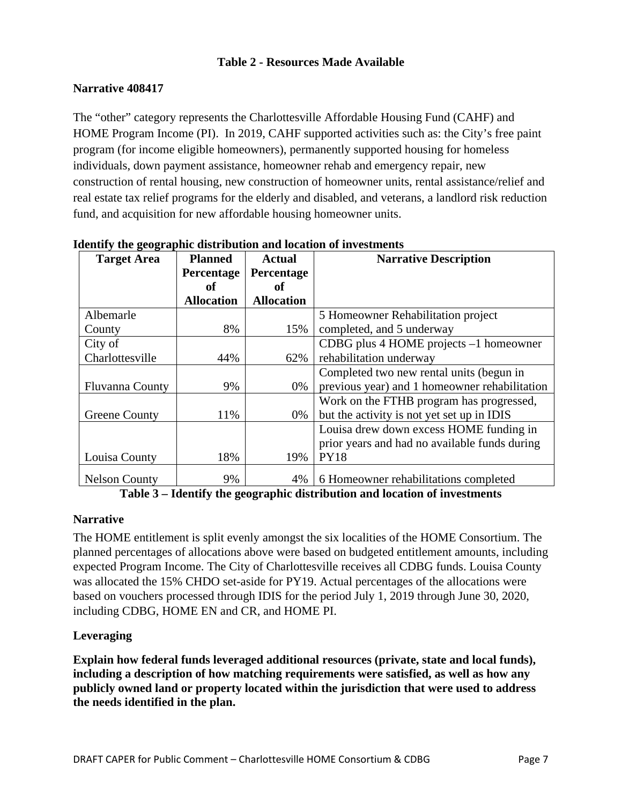### **Table 2 - Resources Made Available**

### **Narrative 408417**

The "other" category represents the Charlottesville Affordable Housing Fund (CAHF) and HOME Program Income (PI). In 2019, CAHF supported activities such as: the City's free paint program (for income eligible homeowners), permanently supported housing for homeless individuals, down payment assistance, homeowner rehab and emergency repair, new construction of rental housing, new construction of homeowner units, rental assistance/relief and real estate tax relief programs for the elderly and disabled, and veterans, a landlord risk reduction fund, and acquisition for new affordable housing homeowner units.

| <b>Target Area</b>     | <b>Planned</b>    | <b>Actual</b>     | <b>Narrative Description</b>                  |
|------------------------|-------------------|-------------------|-----------------------------------------------|
|                        | Percentage        | Percentage        |                                               |
|                        | оf                | of                |                                               |
|                        | <b>Allocation</b> | <b>Allocation</b> |                                               |
| Albemarle              |                   |                   | 5 Homeowner Rehabilitation project            |
| County                 | 8%                | 15%               | completed, and 5 underway                     |
| City of                |                   |                   | CDBG plus 4 HOME projects -1 homeowner        |
| Charlottesville        | 44%               | 62%               | rehabilitation underway                       |
|                        |                   |                   | Completed two new rental units (begun in      |
| <b>Fluvanna County</b> | 9%                | 0%                | previous year) and 1 homeowner rehabilitation |
|                        |                   |                   | Work on the FTHB program has progressed,      |
| <b>Greene County</b>   | 11%               | 0%                | but the activity is not yet set up in IDIS    |
|                        |                   |                   | Louisa drew down excess HOME funding in       |
|                        |                   |                   | prior years and had no available funds during |
| Louisa County          | 18%               | 19%               | <b>PY18</b>                                   |
| <b>Nelson County</b>   | 9%                | 4%                | 6 Homeowner rehabilitations completed         |

#### **Identify the geographic distribution and location of investments**

**Table 3 – Identify the geographic distribution and location of investments**

#### **Narrative**

The HOME entitlement is split evenly amongst the six localities of the HOME Consortium. The planned percentages of allocations above were based on budgeted entitlement amounts, including expected Program Income. The City of Charlottesville receives all CDBG funds. Louisa County was allocated the 15% CHDO set-aside for PY19. Actual percentages of the allocations were based on vouchers processed through IDIS for the period July 1, 2019 through June 30, 2020, including CDBG, HOME EN and CR, and HOME PI.

### **Leveraging**

**Explain how federal funds leveraged additional resources (private, state and local funds), including a description of how matching requirements were satisfied, as well as how any publicly owned land or property located within the jurisdiction that were used to address the needs identified in the plan.**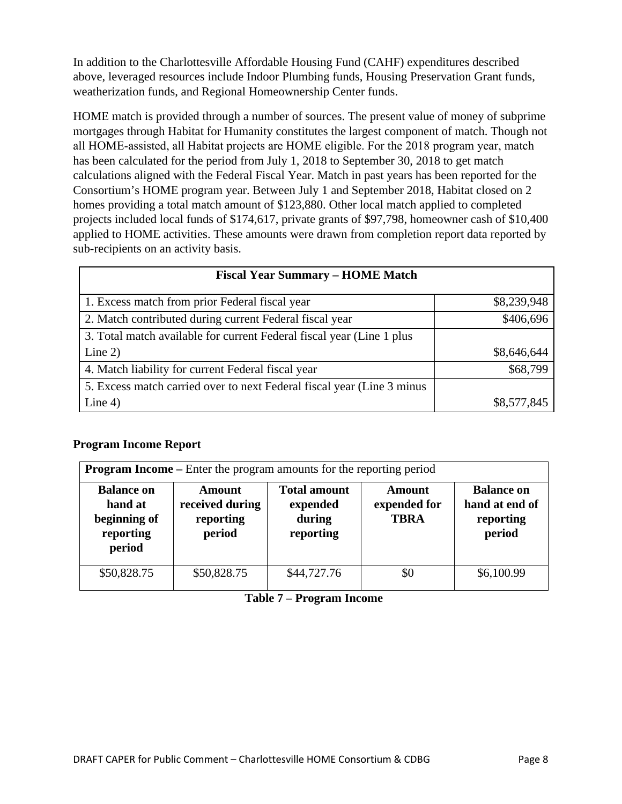In addition to the Charlottesville Affordable Housing Fund (CAHF) expenditures described above, leveraged resources include Indoor Plumbing funds, Housing Preservation Grant funds, weatherization funds, and Regional Homeownership Center funds.

HOME match is provided through a number of sources. The present value of money of subprime mortgages through Habitat for Humanity constitutes the largest component of match. Though not all HOME‐assisted, all Habitat projects are HOME eligible. For the 2018 program year, match has been calculated for the period from July 1, 2018 to September 30, 2018 to get match calculations aligned with the Federal Fiscal Year. Match in past years has been reported for the Consortium's HOME program year. Between July 1 and September 2018, Habitat closed on 2 homes providing a total match amount of \$123,880. Other local match applied to completed projects included local funds of \$174,617, private grants of \$97,798, homeowner cash of \$10,400 applied to HOME activities. These amounts were drawn from completion report data reported by sub-recipients on an activity basis.

| <b>Fiscal Year Summary – HOME Match</b>                                 |             |  |  |  |
|-------------------------------------------------------------------------|-------------|--|--|--|
| 1. Excess match from prior Federal fiscal year                          | \$8,239,948 |  |  |  |
| 2. Match contributed during current Federal fiscal year                 | \$406,696   |  |  |  |
| 3. Total match available for current Federal fiscal year (Line 1 plus)  |             |  |  |  |
| Line $2)$                                                               | \$8,646,644 |  |  |  |
| 4. Match liability for current Federal fiscal year                      | \$68,799    |  |  |  |
| 5. Excess match carried over to next Federal fiscal year (Line 3 minus) |             |  |  |  |
| Line $4)$                                                               | \$8,577,845 |  |  |  |

### **Program Income Report**

| <b>Program Income</b> – Enter the program amounts for the reporting period |                                                  |                                                        |                                              |                                                            |  |
|----------------------------------------------------------------------------|--------------------------------------------------|--------------------------------------------------------|----------------------------------------------|------------------------------------------------------------|--|
| <b>Balance on</b><br>hand at<br>beginning of<br>reporting<br>period        | Amount<br>received during<br>reporting<br>period | <b>Total amount</b><br>expended<br>during<br>reporting | <b>Amount</b><br>expended for<br><b>TBRA</b> | <b>Balance on</b><br>hand at end of<br>reporting<br>period |  |
| \$50,828.75                                                                | \$50,828.75                                      | \$44,727.76                                            | \$0                                          | \$6,100.99                                                 |  |

**Table 7 – Program Income**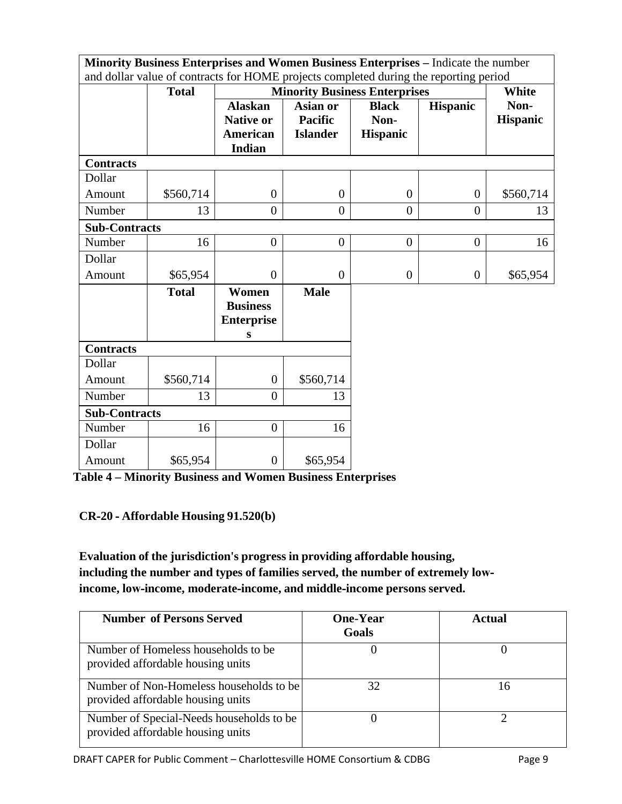| Minority Business Enterprises and Women Business Enterprises - Indicate the number<br>and dollar value of contracts for HOME projects completed during the reporting period |              |                                                                 |                                               |                                         |                 |                         |
|-----------------------------------------------------------------------------------------------------------------------------------------------------------------------------|--------------|-----------------------------------------------------------------|-----------------------------------------------|-----------------------------------------|-----------------|-------------------------|
|                                                                                                                                                                             | <b>Total</b> |                                                                 | <b>Minority Business Enterprises</b>          |                                         |                 |                         |
|                                                                                                                                                                             |              | <b>Alaskan</b><br><b>Native or</b><br>American<br><b>Indian</b> | Asian or<br><b>Pacific</b><br><b>Islander</b> | <b>Black</b><br>Non-<br><b>Hispanic</b> | <b>Hispanic</b> | Non-<br><b>Hispanic</b> |
| <b>Contracts</b>                                                                                                                                                            |              |                                                                 |                                               |                                         |                 |                         |
| Dollar                                                                                                                                                                      |              |                                                                 |                                               |                                         |                 |                         |
| Amount                                                                                                                                                                      | \$560,714    | $\boldsymbol{0}$                                                | $\overline{0}$                                | $\overline{0}$                          | $\overline{0}$  | \$560,714               |
| Number                                                                                                                                                                      | 13           | $\overline{0}$                                                  | $\overline{0}$                                | $\overline{0}$                          | $\overline{0}$  | 13                      |
| <b>Sub-Contracts</b>                                                                                                                                                        |              |                                                                 |                                               |                                         |                 |                         |
| Number                                                                                                                                                                      | 16           | $\overline{0}$                                                  | $\boldsymbol{0}$                              | $\boldsymbol{0}$                        | $\mathbf{0}$    | 16                      |
| Dollar                                                                                                                                                                      |              |                                                                 |                                               |                                         |                 |                         |
| Amount                                                                                                                                                                      | \$65,954     | $\overline{0}$                                                  | $\overline{0}$                                | $\overline{0}$                          | $\mathbf{0}$    | \$65,954                |
|                                                                                                                                                                             | <b>Total</b> | Women<br><b>Business</b><br><b>Enterprise</b><br>S              | <b>Male</b>                                   |                                         |                 |                         |
| <b>Contracts</b>                                                                                                                                                            |              |                                                                 |                                               |                                         |                 |                         |
| Dollar                                                                                                                                                                      |              |                                                                 |                                               |                                         |                 |                         |
| Amount                                                                                                                                                                      | \$560,714    | $\overline{0}$                                                  | \$560,714                                     |                                         |                 |                         |
| Number                                                                                                                                                                      | 13           | $\boldsymbol{0}$                                                | 13                                            |                                         |                 |                         |
| <b>Sub-Contracts</b>                                                                                                                                                        |              |                                                                 |                                               |                                         |                 |                         |
| Number                                                                                                                                                                      | 16           | $\overline{0}$                                                  | 16                                            |                                         |                 |                         |
| Dollar                                                                                                                                                                      |              |                                                                 |                                               |                                         |                 |                         |
| Amount                                                                                                                                                                      | \$65,954     | $\boldsymbol{0}$                                                | \$65,954                                      |                                         |                 |                         |

**Table 4 – Minority Business and Women Business Enterprises**

### **CR‐20 ‐ Affordable Housing 91.520(b)**

**Evaluation of the jurisdiction's progress in providing affordable housing, including the number and types of families served, the number of extremely low‐ income, low‐income, moderate‐income, and middle‐income persons served.**

| <b>Number of Persons Served</b>                                               | <b>One-Year</b><br>Goals | Actual |
|-------------------------------------------------------------------------------|--------------------------|--------|
| Number of Homeless households to be<br>provided affordable housing units      |                          |        |
| Number of Non-Homeless households to be<br>provided affordable housing units  | 32                       | Iб     |
| Number of Special-Needs households to be<br>provided affordable housing units |                          |        |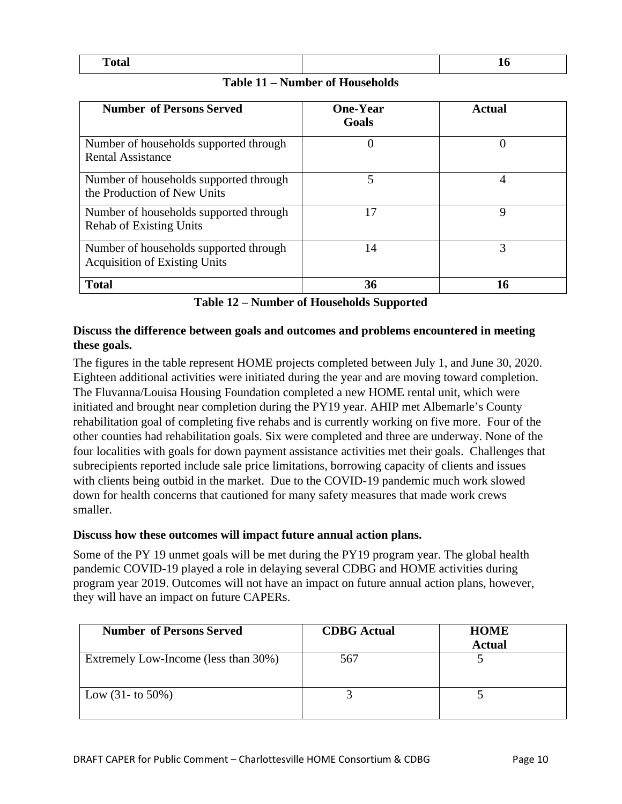| m<br>Total | $\sim$ $\sim$ |
|------------|---------------|

**Table 11 – Number of Households**

| <b>Number of Persons Served</b>                                                | <b>One-Year</b><br>Goals | Actual |
|--------------------------------------------------------------------------------|--------------------------|--------|
| Number of households supported through<br><b>Rental Assistance</b>             | U                        |        |
| Number of households supported through<br>the Production of New Units          | 5                        | 4      |
| Number of households supported through<br><b>Rehab of Existing Units</b>       | 17                       | Q      |
| Number of households supported through<br><b>Acquisition of Existing Units</b> | 14                       | 3      |
| <b>Total</b>                                                                   | 36                       | 16     |

**Table 12 – Number of Households Supported**

#### **Discuss the difference between goals and outcomes and problems encountered in meeting these goals.**

The figures in the table represent HOME projects completed between July 1, and June 30, 2020. Eighteen additional activities were initiated during the year and are moving toward completion. The Fluvanna/Louisa Housing Foundation completed a new HOME rental unit, which were initiated and brought near completion during the PY19 year. AHIP met Albemarle's County rehabilitation goal of completing five rehabs and is currently working on five more. Four of the other counties had rehabilitation goals. Six were completed and three are underway. None of the four localities with goals for down payment assistance activities met their goals. Challenges that subrecipients reported include sale price limitations, borrowing capacity of clients and issues with clients being outbid in the market. Due to the COVID-19 pandemic much work slowed down for health concerns that cautioned for many safety measures that made work crews smaller.

### **Discuss how these outcomes will impact future annual action plans.**

Some of the PY 19 unmet goals will be met during the PY19 program year. The global health pandemic COVID-19 played a role in delaying several CDBG and HOME activities during program year 2019. Outcomes will not have an impact on future annual action plans, however, they will have an impact on future CAPERs.

| <b>Number of Persons Served</b>      | <b>CDBG</b> Actual | <b>HOME</b><br><b>Actual</b> |
|--------------------------------------|--------------------|------------------------------|
| Extremely Low-Income (less than 30%) | 567                |                              |
| Low $(31 -$ to 50%)                  |                    |                              |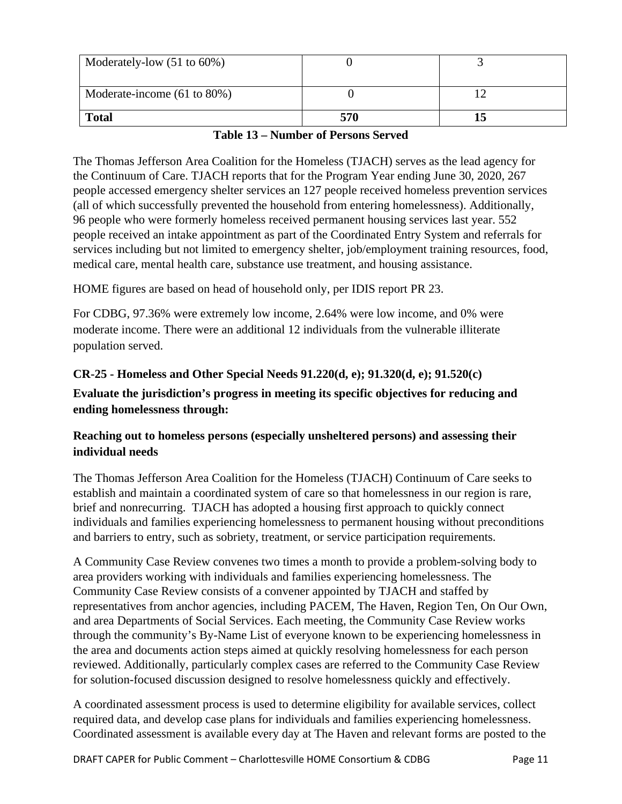| Moderately-low $(51 \text{ to } 60\%)$ |     |  |
|----------------------------------------|-----|--|
| Moderate-income (61 to 80%)            |     |  |
| <b>Total</b>                           | 570 |  |

#### **Table 13 – Number of Persons Served**

The Thomas Jefferson Area Coalition for the Homeless (TJACH) serves as the lead agency for the Continuum of Care. TJACH reports that for the Program Year ending June 30, 2020, 267 people accessed emergency shelter services an 127 people received homeless prevention services (all of which successfully prevented the household from entering homelessness). Additionally, 96 people who were formerly homeless received permanent housing services last year. 552 people received an intake appointment as part of the Coordinated Entry System and referrals for services including but not limited to emergency shelter, job/employment training resources, food, medical care, mental health care, substance use treatment, and housing assistance.

HOME figures are based on head of household only, per IDIS report PR 23.

For CDBG, 97.36% were extremely low income, 2.64% were low income, and 0% were moderate income. There were an additional 12 individuals from the vulnerable illiterate population served.

# **CR-25 - Homeless and Other Special Needs 91.220(d, e); 91.320(d, e); 91.520(c) Evaluate the jurisdiction's progress in meeting its specific objectives for reducing and ending homelessness through:**

# **Reaching out to homeless persons (especially unsheltered persons) and assessing their individual needs**

The Thomas Jefferson Area Coalition for the Homeless (TJACH) Continuum of Care seeks to establish and maintain a coordinated system of care so that homelessness in our region is rare, brief and nonrecurring. TJACH has adopted a housing first approach to quickly connect individuals and families experiencing homelessness to permanent housing without preconditions and barriers to entry, such as sobriety, treatment, or service participation requirements.

A Community Case Review convenes two times a month to provide a problem-solving body to area providers working with individuals and families experiencing homelessness. The Community Case Review consists of a convener appointed by TJACH and staffed by representatives from anchor agencies, including PACEM, The Haven, Region Ten, On Our Own, and area Departments of Social Services. Each meeting, the Community Case Review works through the community's By-Name List of everyone known to be experiencing homelessness in the area and documents action steps aimed at quickly resolving homelessness for each person reviewed. Additionally, particularly complex cases are referred to the Community Case Review for solution-focused discussion designed to resolve homelessness quickly and effectively.

A coordinated assessment process is used to determine eligibility for available services, collect required data, and develop case plans for individuals and families experiencing homelessness. Coordinated assessment is available every day at The Haven and relevant forms are posted to the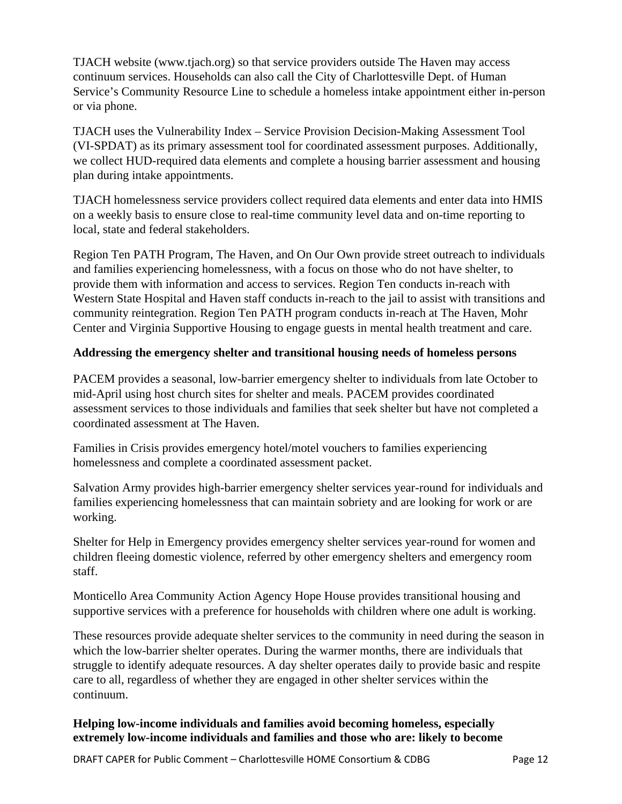TJACH website (www.tjach.org) so that service providers outside The Haven may access continuum services. Households can also call the City of Charlottesville Dept. of Human Service's Community Resource Line to schedule a homeless intake appointment either in-person or via phone.

TJACH uses the Vulnerability Index – Service Provision Decision-Making Assessment Tool (VI-SPDAT) as its primary assessment tool for coordinated assessment purposes. Additionally, we collect HUD-required data elements and complete a housing barrier assessment and housing plan during intake appointments.

TJACH homelessness service providers collect required data elements and enter data into HMIS on a weekly basis to ensure close to real-time community level data and on-time reporting to local, state and federal stakeholders.

Region Ten PATH Program, The Haven, and On Our Own provide street outreach to individuals and families experiencing homelessness, with a focus on those who do not have shelter, to provide them with information and access to services. Region Ten conducts in-reach with Western State Hospital and Haven staff conducts in-reach to the jail to assist with transitions and community reintegration. Region Ten PATH program conducts in-reach at The Haven, Mohr Center and Virginia Supportive Housing to engage guests in mental health treatment and care.

#### **Addressing the emergency shelter and transitional housing needs of homeless persons**

PACEM provides a seasonal, low-barrier emergency shelter to individuals from late October to mid-April using host church sites for shelter and meals. PACEM provides coordinated assessment services to those individuals and families that seek shelter but have not completed a coordinated assessment at The Haven.

Families in Crisis provides emergency hotel/motel vouchers to families experiencing homelessness and complete a coordinated assessment packet.

Salvation Army provides high-barrier emergency shelter services year-round for individuals and families experiencing homelessness that can maintain sobriety and are looking for work or are working.

Shelter for Help in Emergency provides emergency shelter services year-round for women and children fleeing domestic violence, referred by other emergency shelters and emergency room staff.

Monticello Area Community Action Agency Hope House provides transitional housing and supportive services with a preference for households with children where one adult is working.

These resources provide adequate shelter services to the community in need during the season in which the low-barrier shelter operates. During the warmer months, there are individuals that struggle to identify adequate resources. A day shelter operates daily to provide basic and respite care to all, regardless of whether they are engaged in other shelter services within the continuum.

### **Helping low-income individuals and families avoid becoming homeless, especially extremely low-income individuals and families and those who are: likely to become**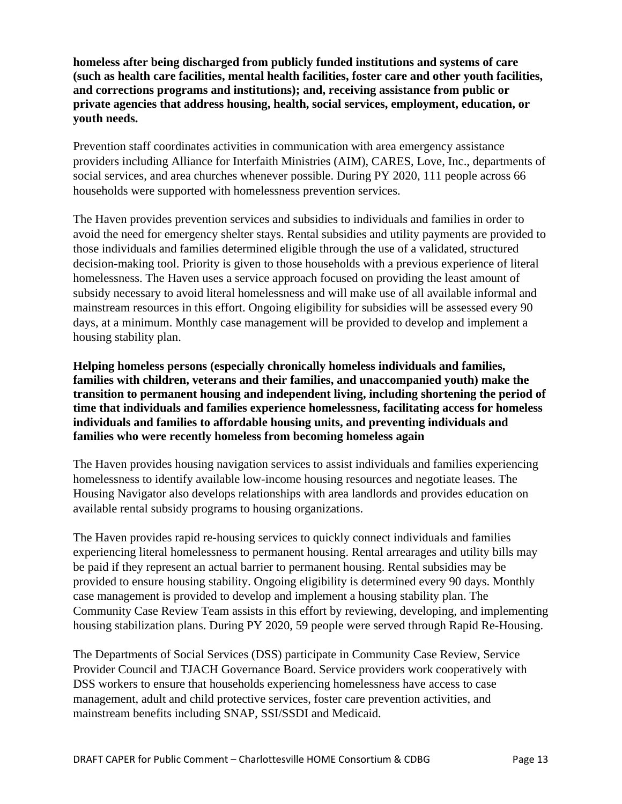**homeless after being discharged from publicly funded institutions and systems of care (such as health care facilities, mental health facilities, foster care and other youth facilities, and corrections programs and institutions); and, receiving assistance from public or private agencies that address housing, health, social services, employment, education, or youth needs.**

Prevention staff coordinates activities in communication with area emergency assistance providers including Alliance for Interfaith Ministries (AIM), CARES, Love, Inc., departments of social services, and area churches whenever possible. During PY 2020, 111 people across 66 households were supported with homelessness prevention services.

The Haven provides prevention services and subsidies to individuals and families in order to avoid the need for emergency shelter stays. Rental subsidies and utility payments are provided to those individuals and families determined eligible through the use of a validated, structured decision-making tool. Priority is given to those households with a previous experience of literal homelessness. The Haven uses a service approach focused on providing the least amount of subsidy necessary to avoid literal homelessness and will make use of all available informal and mainstream resources in this effort. Ongoing eligibility for subsidies will be assessed every 90 days, at a minimum. Monthly case management will be provided to develop and implement a housing stability plan.

**Helping homeless persons (especially chronically homeless individuals and families, families with children, veterans and their families, and unaccompanied youth) make the transition to permanent housing and independent living, including shortening the period of time that individuals and families experience homelessness, facilitating access for homeless individuals and families to affordable housing units, and preventing individuals and families who were recently homeless from becoming homeless again**

The Haven provides housing navigation services to assist individuals and families experiencing homelessness to identify available low-income housing resources and negotiate leases. The Housing Navigator also develops relationships with area landlords and provides education on available rental subsidy programs to housing organizations.

The Haven provides rapid re-housing services to quickly connect individuals and families experiencing literal homelessness to permanent housing. Rental arrearages and utility bills may be paid if they represent an actual barrier to permanent housing. Rental subsidies may be provided to ensure housing stability. Ongoing eligibility is determined every 90 days. Monthly case management is provided to develop and implement a housing stability plan. The Community Case Review Team assists in this effort by reviewing, developing, and implementing housing stabilization plans. During PY 2020, 59 people were served through Rapid Re-Housing.

The Departments of Social Services (DSS) participate in Community Case Review, Service Provider Council and TJACH Governance Board. Service providers work cooperatively with DSS workers to ensure that households experiencing homelessness have access to case management, adult and child protective services, foster care prevention activities, and mainstream benefits including SNAP, SSI/SSDI and Medicaid.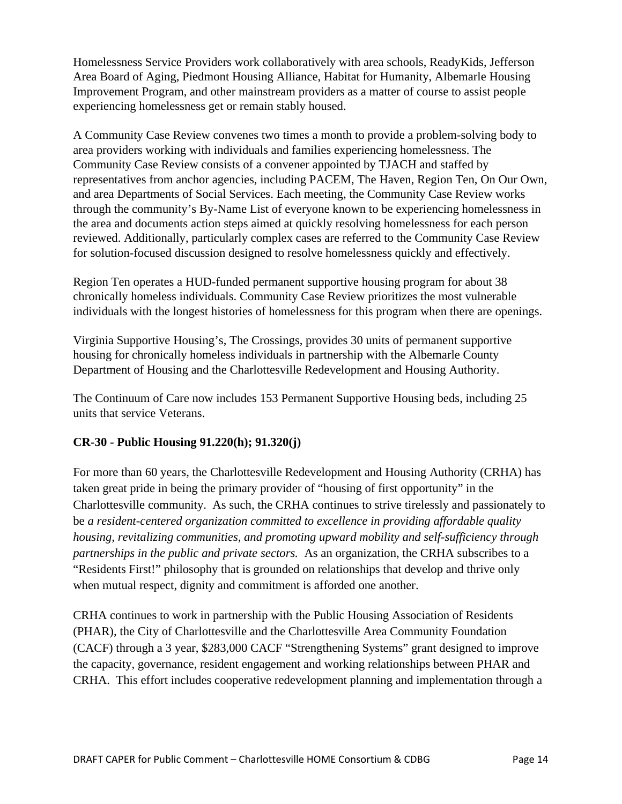Homelessness Service Providers work collaboratively with area schools, ReadyKids, Jefferson Area Board of Aging, Piedmont Housing Alliance, Habitat for Humanity, Albemarle Housing Improvement Program, and other mainstream providers as a matter of course to assist people experiencing homelessness get or remain stably housed.

A Community Case Review convenes two times a month to provide a problem-solving body to area providers working with individuals and families experiencing homelessness. The Community Case Review consists of a convener appointed by TJACH and staffed by representatives from anchor agencies, including PACEM, The Haven, Region Ten, On Our Own, and area Departments of Social Services. Each meeting, the Community Case Review works through the community's By-Name List of everyone known to be experiencing homelessness in the area and documents action steps aimed at quickly resolving homelessness for each person reviewed. Additionally, particularly complex cases are referred to the Community Case Review for solution-focused discussion designed to resolve homelessness quickly and effectively.

Region Ten operates a HUD-funded permanent supportive housing program for about 38 chronically homeless individuals. Community Case Review prioritizes the most vulnerable individuals with the longest histories of homelessness for this program when there are openings.

Virginia Supportive Housing's, The Crossings, provides 30 units of permanent supportive housing for chronically homeless individuals in partnership with the Albemarle County Department of Housing and the Charlottesville Redevelopment and Housing Authority.

The Continuum of Care now includes 153 Permanent Supportive Housing beds, including 25 units that service Veterans.

# **CR-30 - Public Housing 91.220(h); 91.320(j)**

For more than 60 years, the Charlottesville Redevelopment and Housing Authority (CRHA) has taken great pride in being the primary provider of "housing of first opportunity" in the Charlottesville community. As such, the CRHA continues to strive tirelessly and passionately to be *a resident-centered organization committed to excellence in providing affordable quality housing, revitalizing communities, and promoting upward mobility and self-sufficiency through partnerships in the public and private sectors.* As an organization, the CRHA subscribes to a "Residents First!" philosophy that is grounded on relationships that develop and thrive only when mutual respect, dignity and commitment is afforded one another.

CRHA continues to work in partnership with the Public Housing Association of Residents (PHAR), the City of Charlottesville and the Charlottesville Area Community Foundation (CACF) through a 3 year, \$283,000 CACF "Strengthening Systems" grant designed to improve the capacity, governance, resident engagement and working relationships between PHAR and CRHA. This effort includes cooperative redevelopment planning and implementation through a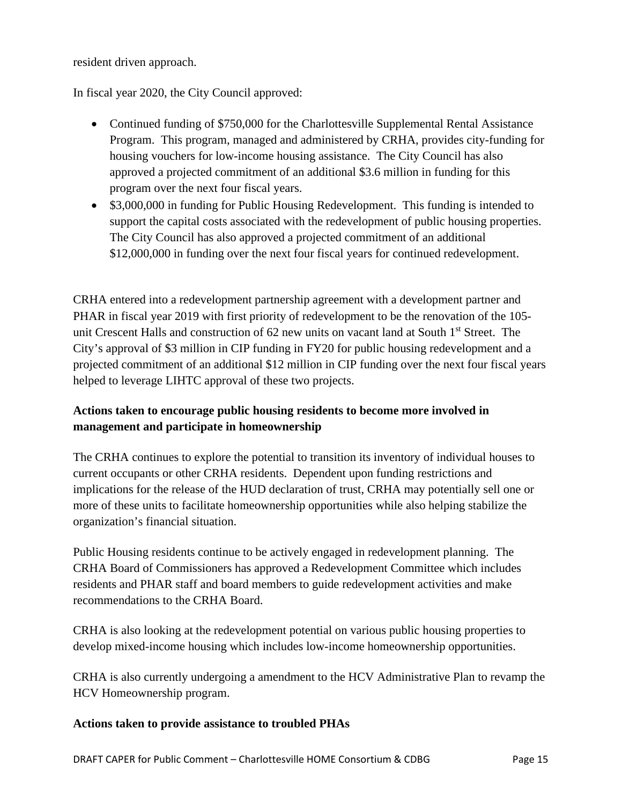resident driven approach.

In fiscal year 2020, the City Council approved:

- Continued funding of \$750,000 for the Charlottesville Supplemental Rental Assistance Program. This program, managed and administered by CRHA, provides city-funding for housing vouchers for low-income housing assistance. The City Council has also approved a projected commitment of an additional \$3.6 million in funding for this program over the next four fiscal years.
- \$3,000,000 in funding for Public Housing Redevelopment. This funding is intended to support the capital costs associated with the redevelopment of public housing properties. The City Council has also approved a projected commitment of an additional \$12,000,000 in funding over the next four fiscal years for continued redevelopment.

CRHA entered into a redevelopment partnership agreement with a development partner and PHAR in fiscal year 2019 with first priority of redevelopment to be the renovation of the 105 unit Crescent Halls and construction of 62 new units on vacant land at South 1<sup>st</sup> Street. The City's approval of \$3 million in CIP funding in FY20 for public housing redevelopment and a projected commitment of an additional \$12 million in CIP funding over the next four fiscal years helped to leverage LIHTC approval of these two projects.

# **Actions taken to encourage public housing residents to become more involved in management and participate in homeownership**

The CRHA continues to explore the potential to transition its inventory of individual houses to current occupants or other CRHA residents. Dependent upon funding restrictions and implications for the release of the HUD declaration of trust, CRHA may potentially sell one or more of these units to facilitate homeownership opportunities while also helping stabilize the organization's financial situation.

Public Housing residents continue to be actively engaged in redevelopment planning. The CRHA Board of Commissioners has approved a Redevelopment Committee which includes residents and PHAR staff and board members to guide redevelopment activities and make recommendations to the CRHA Board.

CRHA is also looking at the redevelopment potential on various public housing properties to develop mixed-income housing which includes low-income homeownership opportunities.

CRHA is also currently undergoing a amendment to the HCV Administrative Plan to revamp the HCV Homeownership program.

### **Actions taken to provide assistance to troubled PHAs**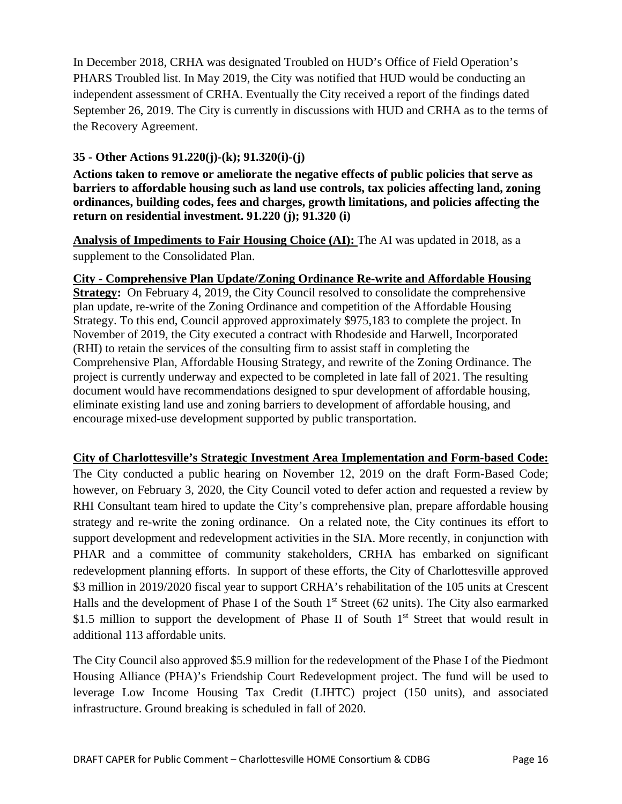In December 2018, CRHA was designated Troubled on HUD's Office of Field Operation's PHARS Troubled list. In May 2019, the City was notified that HUD would be conducting an independent assessment of CRHA. Eventually the City received a report of the findings dated September 26, 2019. The City is currently in discussions with HUD and CRHA as to the terms of the Recovery Agreement.

## **35 - Other Actions 91.220(j)-(k); 91.320(i)-(j)**

**Actions taken to remove or ameliorate the negative effects of public policies that serve as barriers to affordable housing such as land use controls, tax policies affecting land, zoning ordinances, building codes, fees and charges, growth limitations, and policies affecting the return on residential investment. 91.220 (j); 91.320 (i)**

**Analysis of Impediments to Fair Housing Choice (AI):** The AI was updated in 2018, as a supplement to the Consolidated Plan.

### **City - Comprehensive Plan Update/Zoning Ordinance Re-write and Affordable Housing**

**Strategy:** On February 4, 2019, the City Council resolved to consolidate the comprehensive plan update, re-write of the Zoning Ordinance and competition of the Affordable Housing Strategy. To this end, Council approved approximately \$975,183 to complete the project. In November of 2019, the City executed a contract with Rhodeside and Harwell, Incorporated (RHI) to retain the services of the consulting firm to assist staff in completing the Comprehensive Plan, Affordable Housing Strategy, and rewrite of the Zoning Ordinance. The project is currently underway and expected to be completed in late fall of 2021. The resulting document would have recommendations designed to spur development of affordable housing, eliminate existing land use and zoning barriers to development of affordable housing, and encourage mixed-use development supported by public transportation.

### **City of Charlottesville's Strategic Investment Area Implementation and Form-based Code:**

The City conducted a public hearing on November 12, 2019 on the draft Form-Based Code; however, on February 3, 2020, the City Council voted to defer action and requested a review by RHI Consultant team hired to update the City's comprehensive plan, prepare affordable housing strategy and re-write the zoning ordinance. On a related note, the City continues its effort to support development and redevelopment activities in the SIA. More recently, in conjunction with PHAR and a committee of community stakeholders, CRHA has embarked on significant redevelopment planning efforts. In support of these efforts, the City of Charlottesville approved \$3 million in 2019/2020 fiscal year to support CRHA's rehabilitation of the 105 units at Crescent Halls and the development of Phase I of the South  $1<sup>st</sup>$  Street (62 units). The City also earmarked \$1.5 million to support the development of Phase II of South  $1<sup>st</sup>$  Street that would result in additional 113 affordable units.

The City Council also approved \$5.9 million for the redevelopment of the Phase I of the Piedmont Housing Alliance (PHA)'s Friendship Court Redevelopment project. The fund will be used to leverage Low Income Housing Tax Credit (LIHTC) project (150 units), and associated infrastructure. Ground breaking is scheduled in fall of 2020.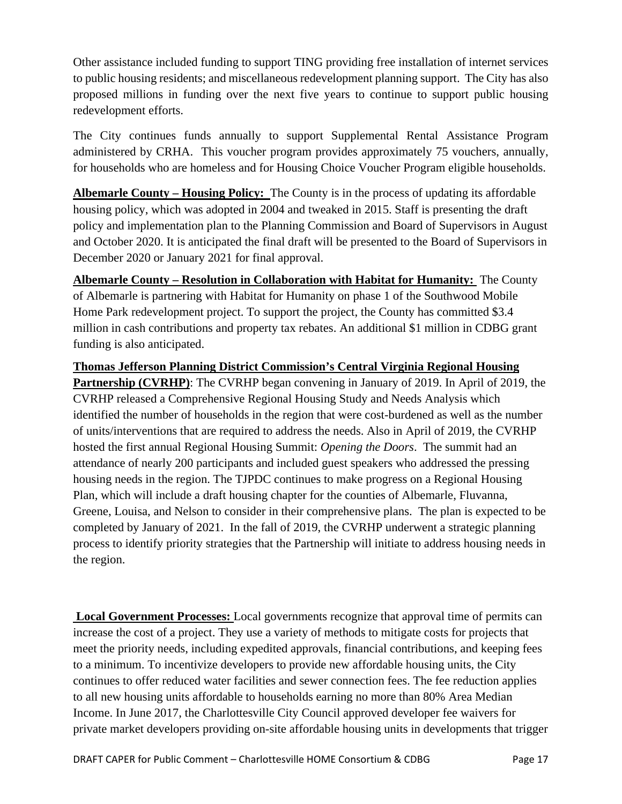Other assistance included funding to support TING providing free installation of internet services to public housing residents; and miscellaneous redevelopment planning support. The City has also proposed millions in funding over the next five years to continue to support public housing redevelopment efforts.

The City continues funds annually to support Supplemental Rental Assistance Program administered by CRHA. This voucher program provides approximately 75 vouchers, annually, for households who are homeless and for Housing Choice Voucher Program eligible households.

**Albemarle County – Housing Policy:** The County is in the process of updating its affordable housing policy, which was [adopted in 2004 and tweaked in 2015.](https://www.dailyprogress.com/news/local/partnership-seeks-ways-to-build-more-affordable-housing/article_e60e0776-e559-11e8-a4ee-c3f046d7dc78.html) Staff is presenting the draft policy and implementation plan to the Planning Commission and Board of Supervisors in August and October 2020. It is anticipated the final draft will be presented to the Board of Supervisors in December 2020 or January 2021 for final approval.

**Albemarle County – Resolution in Collaboration with Habitat for Humanity:** The County of Albemarle is partnering with Habitat for Humanity on phase 1 of the Southwood Mobile Home Park redevelopment project. To support the project, the County has committed \$3.4 million in cash contributions and property tax rebates. An additional \$1 million in CDBG grant funding is also anticipated.

**Thomas Jefferson Planning District Commission's Central Virginia Regional Housing Partnership (CVRHP)**: The CVRHP began convening in January of 2019. In April of 2019, the CVRHP released a Comprehensive Regional Housing Study and Needs Analysis which identified the number of households in the region that were cost-burdened as well as the number of units/interventions that are required to address the needs. Also in April of 2019, the CVRHP hosted the first annual Regional Housing Summit: *Opening the Doors*. The summit had an attendance of nearly 200 participants and included guest speakers who addressed the pressing housing needs in the region. The TJPDC continues to make progress on a Regional Housing Plan, which will include a draft housing chapter for the counties of Albemarle, Fluvanna, Greene, Louisa, and Nelson to consider in their comprehensive plans. The plan is expected to be completed by January of 2021. In the fall of 2019, the CVRHP underwent a strategic planning process to identify priority strategies that the Partnership will initiate to address housing needs in the region.

**Local Government Processes:** Local governments recognize that approval time of permits can increase the cost of a project. They use a variety of methods to mitigate costs for projects that meet the priority needs, including expedited approvals, financial contributions, and keeping fees to a minimum. To incentivize developers to provide new affordable housing units, the City continues to offer reduced water facilities and sewer connection fees. The fee reduction applies to all new housing units affordable to households earning no more than 80% Area Median Income. In June 2017, the Charlottesville City Council approved developer fee waivers for private market developers providing on-site affordable housing units in developments that trigger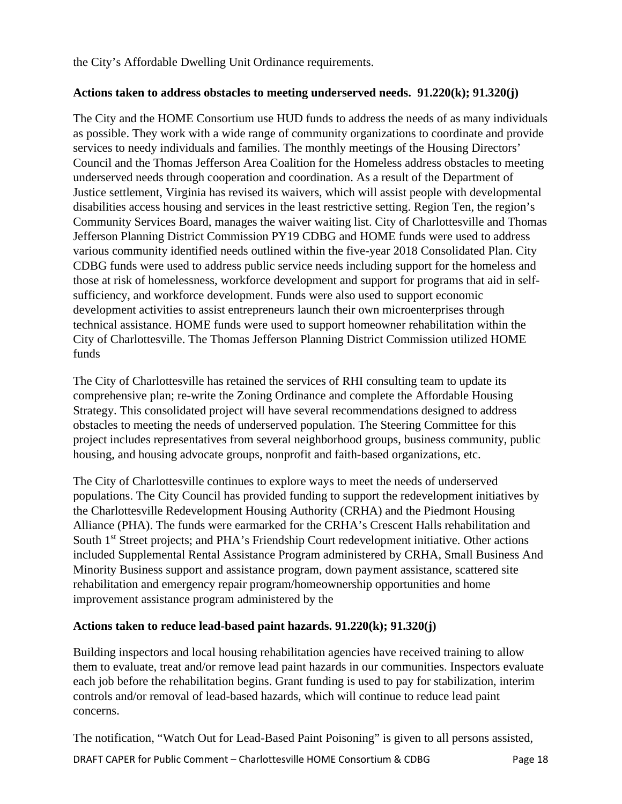the City's Affordable Dwelling Unit Ordinance requirements.

#### **Actions taken to address obstacles to meeting underserved needs. 91.220(k); 91.320(j)**

The City and the HOME Consortium use HUD funds to address the needs of as many individuals as possible. They work with a wide range of community organizations to coordinate and provide services to needy individuals and families. The monthly meetings of the Housing Directors' Council and the Thomas Jefferson Area Coalition for the Homeless address obstacles to meeting underserved needs through cooperation and coordination. As a result of the Department of Justice settlement, Virginia has revised its waivers, which will assist people with developmental disabilities access housing and services in the least restrictive setting. Region Ten, the region's Community Services Board, manages the waiver waiting list. City of Charlottesville and Thomas Jefferson Planning District Commission PY19 CDBG and HOME funds were used to address various community identified needs outlined within the five-year 2018 Consolidated Plan. City CDBG funds were used to address public service needs including support for the homeless and those at risk of homelessness, workforce development and support for programs that aid in selfsufficiency, and workforce development. Funds were also used to support economic development activities to assist entrepreneurs launch their own microenterprises through technical assistance. HOME funds were used to support homeowner rehabilitation within the City of Charlottesville. The Thomas Jefferson Planning District Commission utilized HOME funds

The City of Charlottesville has retained the services of RHI consulting team to update its comprehensive plan; re-write the Zoning Ordinance and complete the Affordable Housing Strategy. This consolidated project will have several recommendations designed to address obstacles to meeting the needs of underserved population. The Steering Committee for this project includes representatives from several neighborhood groups, business community, public housing, and housing advocate groups, nonprofit and faith-based organizations, etc.

The City of Charlottesville continues to explore ways to meet the needs of underserved populations. The City Council has provided funding to support the redevelopment initiatives by the Charlottesville Redevelopment Housing Authority (CRHA) and the Piedmont Housing Alliance (PHA). The funds were earmarked for the CRHA's Crescent Halls rehabilitation and South 1<sup>st</sup> Street projects; and PHA's Friendship Court redevelopment initiative. Other actions included Supplemental Rental Assistance Program administered by CRHA, Small Business And Minority Business support and assistance program, down payment assistance, scattered site rehabilitation and emergency repair program/homeownership opportunities and home improvement assistance program administered by the

#### **Actions taken to reduce lead-based paint hazards. 91.220(k); 91.320(j)**

Building inspectors and local housing rehabilitation agencies have received training to allow them to evaluate, treat and/or remove lead paint hazards in our communities. Inspectors evaluate each job before the rehabilitation begins. Grant funding is used to pay for stabilization, interim controls and/or removal of lead-based hazards, which will continue to reduce lead paint concerns.

The notification, "Watch Out for Lead-Based Paint Poisoning" is given to all persons assisted,

DRAFT CAPER for Public Comment – Charlottesville HOME Consortium & CDBG Page 18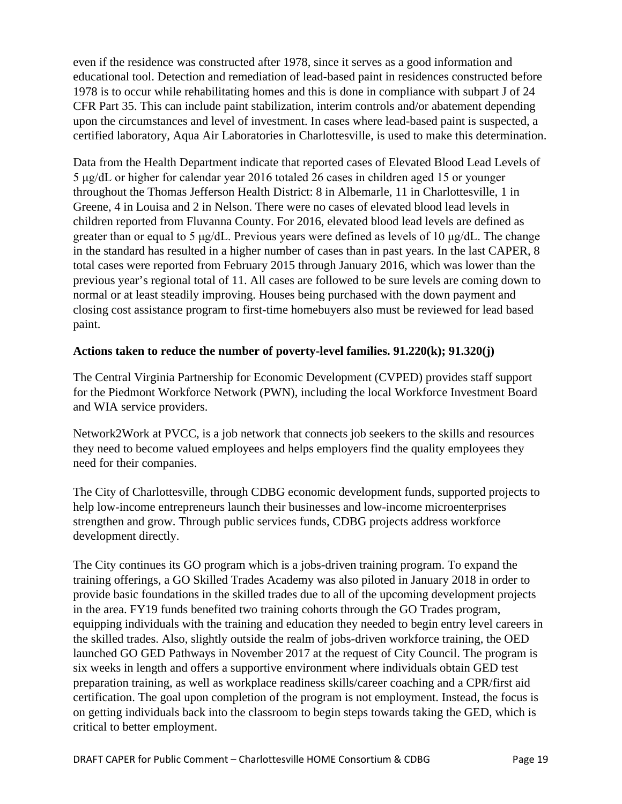even if the residence was constructed after 1978, since it serves as a good information and educational tool. Detection and remediation of lead-based paint in residences constructed before 1978 is to occur while rehabilitating homes and this is done in compliance with subpart J of 24 CFR Part 35. This can include paint stabilization, interim controls and/or abatement depending upon the circumstances and level of investment. In cases where lead-based paint is suspected, a certified laboratory, Aqua Air Laboratories in Charlottesville, is used to make this determination.

Data from the Health Department indicate that reported cases of Elevated Blood Lead Levels of 5 μg/dL or higher for calendar year 2016 totaled 26 cases in children aged 15 or younger throughout the Thomas Jefferson Health District: 8 in Albemarle, 11 in Charlottesville, 1 in Greene, 4 in Louisa and 2 in Nelson. There were no cases of elevated blood lead levels in children reported from Fluvanna County. For 2016, elevated blood lead levels are defined as greater than or equal to 5 μg/dL. Previous years were defined as levels of 10 μg/dL. The change in the standard has resulted in a higher number of cases than in past years. In the last CAPER, 8 total cases were reported from February 2015 through January 2016, which was lower than the previous year's regional total of 11. All cases are followed to be sure levels are coming down to normal or at least steadily improving. Houses being purchased with the down payment and closing cost assistance program to first-time homebuyers also must be reviewed for lead based paint.

### **Actions taken to reduce the number of poverty-level families. 91.220(k); 91.320(j)**

The Central Virginia Partnership for Economic Development (CVPED) provides staff support for the Piedmont Workforce Network (PWN), including the local Workforce Investment Board and WIA service providers.

Network2Work at PVCC, is a job network that connects job seekers to the skills and resources they need to become valued employees and helps employers find the quality employees they need for their companies.

The City of Charlottesville, through CDBG economic development funds, supported projects to help low-income entrepreneurs launch their businesses and low-income microenterprises strengthen and grow. Through public services funds, CDBG projects address workforce development directly.

The City continues its GO program which is a jobs-driven training program. To expand the training offerings, a GO Skilled Trades Academy was also piloted in January 2018 in order to provide basic foundations in the skilled trades due to all of the upcoming development projects in the area. FY19 funds benefited two training cohorts through the GO Trades program, equipping individuals with the training and education they needed to begin entry level careers in the skilled trades. Also, slightly outside the realm of jobs-driven workforce training, the OED launched GO GED Pathways in November 2017 at the request of City Council. The program is six weeks in length and offers a supportive environment where individuals obtain GED test preparation training, as well as workplace readiness skills/career coaching and a CPR/first aid certification. The goal upon completion of the program is not employment. Instead, the focus is on getting individuals back into the classroom to begin steps towards taking the GED, which is critical to better employment.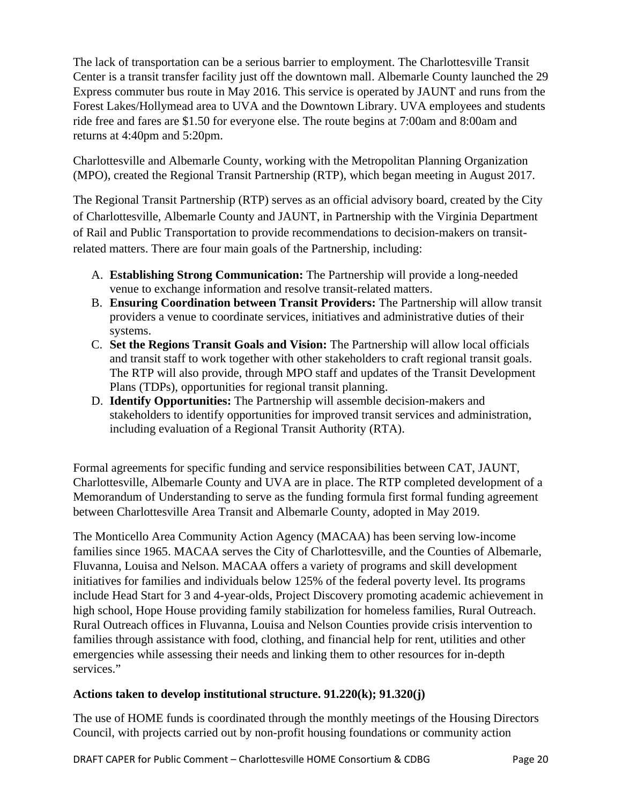The lack of transportation can be a serious barrier to employment. The Charlottesville Transit Center is a transit transfer facility just off the downtown mall. Albemarle County launched the 29 Express commuter bus route in May 2016. This service is operated by JAUNT and runs from the Forest Lakes/Hollymead area to UVA and the Downtown Library. UVA employees and students ride free and fares are \$1.50 for everyone else. The route begins at 7:00am and 8:00am and returns at 4:40pm and 5:20pm.

Charlottesville and Albemarle County, working with the Metropolitan Planning Organization (MPO), created the Regional Transit Partnership (RTP), which began meeting in August 2017.

The Regional Transit Partnership (RTP) serves as an official advisory board, created by the City of Charlottesville, Albemarle County and JAUNT, in Partnership with the Virginia Department of Rail and Public Transportation to provide recommendations to decision-makers on transitrelated matters. There are four main goals of the Partnership, including:

- A. **Establishing Strong Communication:** The Partnership will provide a long-needed venue to exchange information and resolve transit-related matters.
- B. **Ensuring Coordination between Transit Providers:** The Partnership will allow transit providers a venue to coordinate services, initiatives and administrative duties of their systems.
- C. **Set the Regions Transit Goals and Vision:** The Partnership will allow local officials and transit staff to work together with other stakeholders to craft regional transit goals. The RTP will also provide, through MPO staff and updates of the Transit Development Plans (TDPs), opportunities for regional transit planning.
- D. **Identify Opportunities:** The Partnership will assemble decision-makers and stakeholders to identify opportunities for improved transit services and administration, including evaluation of a Regional Transit Authority (RTA).

Formal agreements for specific funding and service responsibilities between CAT, JAUNT, Charlottesville, Albemarle County and UVA are in place. The RTP completed development of a Memorandum of Understanding to serve as the funding formula first formal funding agreement between Charlottesville Area Transit and Albemarle County, adopted in May 2019.

The Monticello Area Community Action Agency (MACAA) has been serving low-income families since 1965. MACAA serves the City of Charlottesville, and the Counties of Albemarle, Fluvanna, Louisa and Nelson. MACAA offers a variety of programs and skill development initiatives for families and individuals below 125% of the federal poverty level. Its programs include Head Start for 3 and 4-year-olds, Project Discovery promoting academic achievement in high school, Hope House providing family stabilization for homeless families, Rural Outreach. Rural Outreach offices in Fluvanna, Louisa and Nelson Counties provide crisis intervention to families through assistance with food, clothing, and financial help for rent, utilities and other emergencies while assessing their needs and linking them to other resources for in-depth services."

# **Actions taken to develop institutional structure. 91.220(k); 91.320(j)**

The use of HOME funds is coordinated through the monthly meetings of the Housing Directors Council, with projects carried out by non-profit housing foundations or community action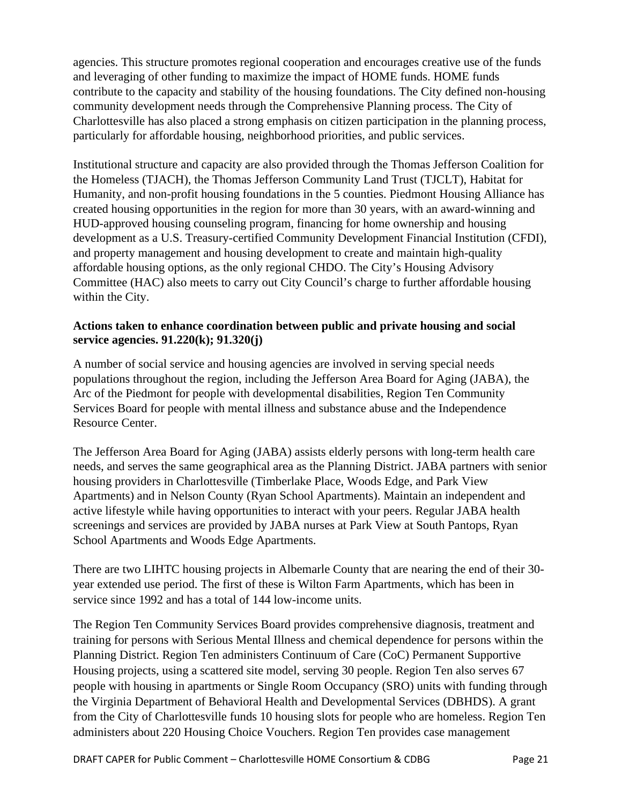agencies. This structure promotes regional cooperation and encourages creative use of the funds and leveraging of other funding to maximize the impact of HOME funds. HOME funds contribute to the capacity and stability of the housing foundations. The City defined non-housing community development needs through the Comprehensive Planning process. The City of Charlottesville has also placed a strong emphasis on citizen participation in the planning process, particularly for affordable housing, neighborhood priorities, and public services.

Institutional structure and capacity are also provided through the Thomas Jefferson Coalition for the Homeless (TJACH), the Thomas Jefferson Community Land Trust (TJCLT), Habitat for Humanity, and non-profit housing foundations in the 5 counties. Piedmont Housing Alliance has created housing opportunities in the region for more than 30 years, with an award-winning and HUD-approved housing counseling program, financing for home ownership and housing development as a U.S. Treasury-certified Community Development Financial Institution (CFDI), and property management and housing development to create and maintain high-quality affordable housing options, as the only regional CHDO. The City's Housing Advisory Committee (HAC) also meets to carry out City Council's charge to further affordable housing within the City.

### **Actions taken to enhance coordination between public and private housing and social service agencies. 91.220(k); 91.320(j)**

A number of social service and housing agencies are involved in serving special needs populations throughout the region, including the Jefferson Area Board for Aging (JABA), the Arc of the Piedmont for people with developmental disabilities, Region Ten Community Services Board for people with mental illness and substance abuse and the Independence Resource Center.

The Jefferson Area Board for Aging (JABA) assists elderly persons with long-term health care needs, and serves the same geographical area as the Planning District. JABA partners with senior housing providers in Charlottesville (Timberlake Place, Woods Edge, and Park View Apartments) and in Nelson County (Ryan School Apartments). Maintain an independent and active lifestyle while having opportunities to interact with your peers. Regular JABA health screenings and services are provided by JABA nurses at Park View at South Pantops, Ryan School Apartments and Woods Edge Apartments.

There are two LIHTC housing projects in Albemarle County that are nearing the end of their 30 year extended use period. The first of these is Wilton Farm Apartments, which has been in service since 1992 and has a total of 144 low-income units.

The Region Ten Community Services Board provides comprehensive diagnosis, treatment and training for persons with Serious Mental Illness and chemical dependence for persons within the Planning District. Region Ten administers Continuum of Care (CoC) Permanent Supportive Housing projects, using a scattered site model, serving 30 people. Region Ten also serves 67 people with housing in apartments or Single Room Occupancy (SRO) units with funding through the Virginia Department of Behavioral Health and Developmental Services (DBHDS). A grant from the City of Charlottesville funds 10 housing slots for people who are homeless. Region Ten administers about 220 Housing Choice Vouchers. Region Ten provides case management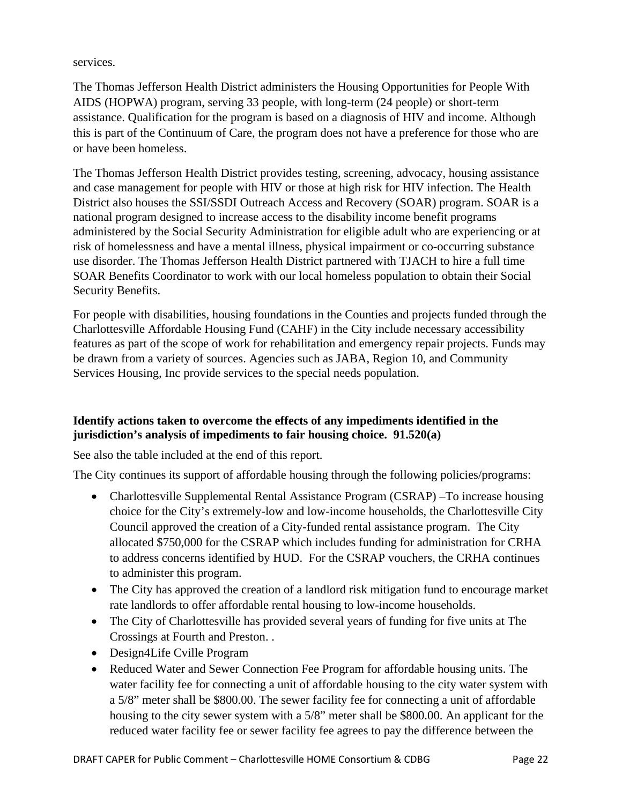services.

The Thomas Jefferson Health District administers the Housing Opportunities for People With AIDS (HOPWA) program, serving 33 people, with long-term (24 people) or short-term assistance. Qualification for the program is based on a diagnosis of HIV and income. Although this is part of the Continuum of Care, the program does not have a preference for those who are or have been homeless.

The Thomas Jefferson Health District provides testing, screening, advocacy, housing assistance and case management for people with HIV or those at high risk for HIV infection. The Health District also houses the SSI/SSDI Outreach Access and Recovery (SOAR) program. SOAR is a national program designed to increase access to the disability income benefit programs administered by the Social Security Administration for eligible adult who are experiencing or at risk of homelessness and have a mental illness, physical impairment or co-occurring substance use disorder. The Thomas Jefferson Health District partnered with TJACH to hire a full time SOAR Benefits Coordinator to work with our local homeless population to obtain their Social Security Benefits.

For people with disabilities, housing foundations in the Counties and projects funded through the Charlottesville Affordable Housing Fund (CAHF) in the City include necessary accessibility features as part of the scope of work for rehabilitation and emergency repair projects. Funds may be drawn from a variety of sources. Agencies such as JABA, Region 10, and Community Services Housing, Inc provide services to the special needs population.

# **Identify actions taken to overcome the effects of any impediments identified in the jurisdiction's analysis of impediments to fair housing choice. 91.520(a)**

See also the table included at the end of this report.

The City continues its support of affordable housing through the following policies/programs:

- Charlottesville Supplemental Rental Assistance Program (CSRAP) –To increase housing choice for the City's extremely-low and low-income households, the Charlottesville City Council approved the creation of a City-funded rental assistance program. The City allocated \$750,000 for the CSRAP which includes funding for administration for CRHA to address concerns identified by HUD. For the CSRAP vouchers, the CRHA continues to administer this program.
- The City has approved the creation of a landlord risk mitigation fund to encourage market rate landlords to offer affordable rental housing to low-income households.
- The City of Charlottesville has provided several years of funding for five units at The Crossings at Fourth and Preston. .
- Design4Life Cville Program
- Reduced Water and Sewer Connection Fee Program for affordable housing units. The water facility fee for connecting a unit of affordable housing to the city water system with a 5/8" meter shall be \$800.00. The sewer facility fee for connecting a unit of affordable housing to the city sewer system with a 5/8" meter shall be \$800.00. An applicant for the reduced water facility fee or sewer facility fee agrees to pay the difference between the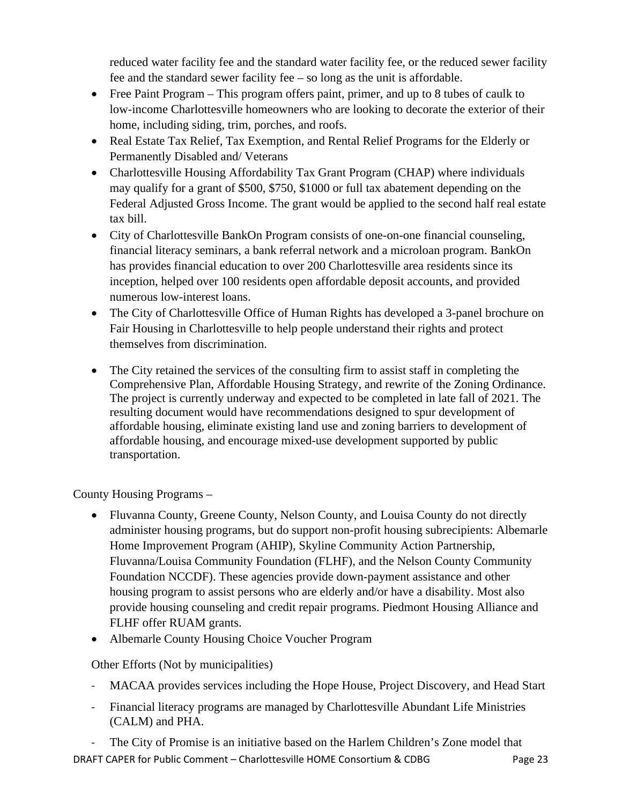reduced water facility fee and the standard water facility fee, or the reduced sewer facility fee and the standard sewer facility fee – so long as the unit is affordable.

- Free Paint Program This program offers paint, primer, and up to 8 tubes of caulk to low-income Charlottesville homeowners who are looking to decorate the exterior of their home, including siding, trim, porches, and roofs.
- Real Estate Tax Relief, Tax Exemption, and Rental Relief Programs for the Elderly or Permanently Disabled and/ Veterans
- Charlottesville Housing Affordability Tax Grant Program (CHAP) where individuals may qualify for a grant of \$500, \$750, \$1000 or full tax abatement depending on the Federal Adjusted Gross Income. The grant would be applied to the second half real estate tax bill.
- City of Charlottesville BankOn Program consists of one-on-one financial counseling, financial literacy seminars, a bank referral network and a microloan program. BankOn has provides financial education to over 200 Charlottesville area residents since its inception, helped over 100 residents open affordable deposit accounts, and provided numerous low-interest loans.
- The City of Charlottesville Office of Human Rights has developed a 3-panel brochure on Fair Housing in Charlottesville to help people understand their rights and protect themselves from discrimination.
- The City retained the services of the consulting firm to assist staff in completing the Comprehensive Plan, Affordable Housing Strategy, and rewrite of the Zoning Ordinance. The project is currently underway and expected to be completed in late fall of 2021. The resulting document would have recommendations designed to spur development of affordable housing, eliminate existing land use and zoning barriers to development of affordable housing, and encourage mixed-use development supported by public transportation.

County Housing Programs –

- Fluvanna County, Greene County, Nelson County, and Louisa County do not directly administer housing programs, but do support non-profit housing subrecipients: Albemarle Home Improvement Program (AHIP), Skyline Community Action Partnership, Fluvanna/Louisa Community Foundation (FLHF), and the Nelson County Community Foundation NCCDF). These agencies provide down-payment assistance and other housing program to assist persons who are elderly and/or have a disability. Most also provide housing counseling and credit repair programs. Piedmont Housing Alliance and FLHF offer RUAM grants.
- Albemarle County Housing Choice Voucher Program

Other Efforts (Not by municipalities)

- MACAA provides services including the Hope House, Project Discovery, and Head Start
- Financial literacy programs are managed by Charlottesville Abundant Life Ministries (CALM) and PHA.

DRAFT CAPER for Public Comment – Charlottesville HOME Consortium & CDBG Page 23 The City of Promise is an initiative based on the Harlem Children's Zone model that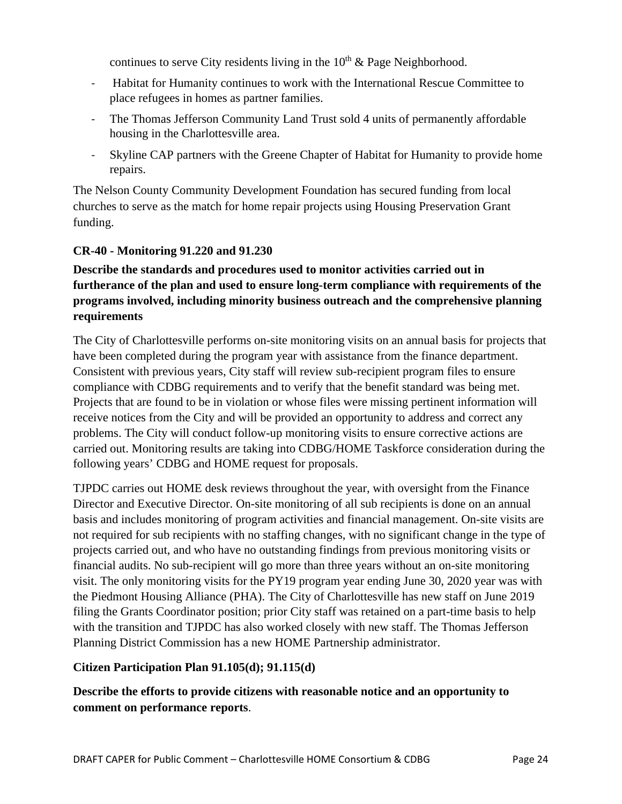continues to serve City residents living in the  $10<sup>th</sup>$  & Page Neighborhood.

- Habitat for Humanity continues to work with the International Rescue Committee to place refugees in homes as partner families.
- The Thomas Jefferson Community Land Trust sold 4 units of permanently affordable housing in the Charlottesville area.
- Skyline CAP partners with the Greene Chapter of Habitat for Humanity to provide home repairs.

The Nelson County Community Development Foundation has secured funding from local churches to serve as the match for home repair projects using Housing Preservation Grant funding.

### **CR-40 - Monitoring 91.220 and 91.230**

# **Describe the standards and procedures used to monitor activities carried out in furtherance of the plan and used to ensure long-term compliance with requirements of the programs involved, including minority business outreach and the comprehensive planning requirements**

The City of Charlottesville performs on-site monitoring visits on an annual basis for projects that have been completed during the program year with assistance from the finance department. Consistent with previous years, City staff will review sub-recipient program files to ensure compliance with CDBG requirements and to verify that the benefit standard was being met. Projects that are found to be in violation or whose files were missing pertinent information will receive notices from the City and will be provided an opportunity to address and correct any problems. The City will conduct follow-up monitoring visits to ensure corrective actions are carried out. Monitoring results are taking into CDBG/HOME Taskforce consideration during the following years' CDBG and HOME request for proposals.

TJPDC carries out HOME desk reviews throughout the year, with oversight from the Finance Director and Executive Director. On-site monitoring of all sub recipients is done on an annual basis and includes monitoring of program activities and financial management. On-site visits are not required for sub recipients with no staffing changes, with no significant change in the type of projects carried out, and who have no outstanding findings from previous monitoring visits or financial audits. No sub-recipient will go more than three years without an on-site monitoring visit. The only monitoring visits for the PY19 program year ending June 30, 2020 year was with the Piedmont Housing Alliance (PHA). The City of Charlottesville has new staff on June 2019 filing the Grants Coordinator position; prior City staff was retained on a part-time basis to help with the transition and TJPDC has also worked closely with new staff. The Thomas Jefferson Planning District Commission has a new HOME Partnership administrator.

#### **Citizen Participation Plan 91.105(d); 91.115(d)**

**Describe the efforts to provide citizens with reasonable notice and an opportunity to comment on performance reports**.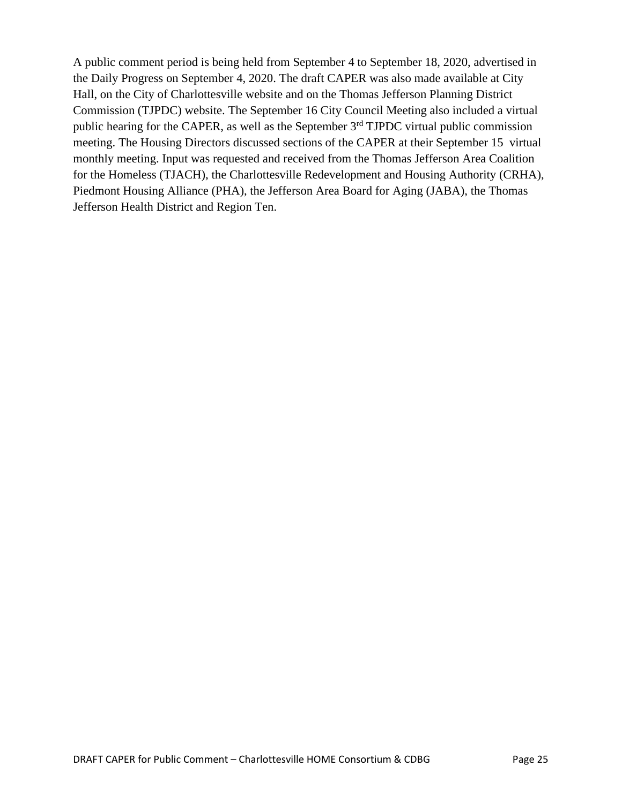A public comment period is being held from September 4 to September 18, 2020, advertised in the Daily Progress on September 4, 2020. The draft CAPER was also made available at City Hall, on the City of Charlottesville website and on the Thomas Jefferson Planning District Commission (TJPDC) website. The September 16 City Council Meeting also included a virtual public hearing for the CAPER, as well as the September 3<sup>rd</sup> TJPDC virtual public commission meeting. The Housing Directors discussed sections of the CAPER at their September 15 virtual monthly meeting. Input was requested and received from the Thomas Jefferson Area Coalition for the Homeless (TJACH), the Charlottesville Redevelopment and Housing Authority (CRHA), Piedmont Housing Alliance (PHA), the Jefferson Area Board for Aging (JABA), the Thomas Jefferson Health District and Region Ten.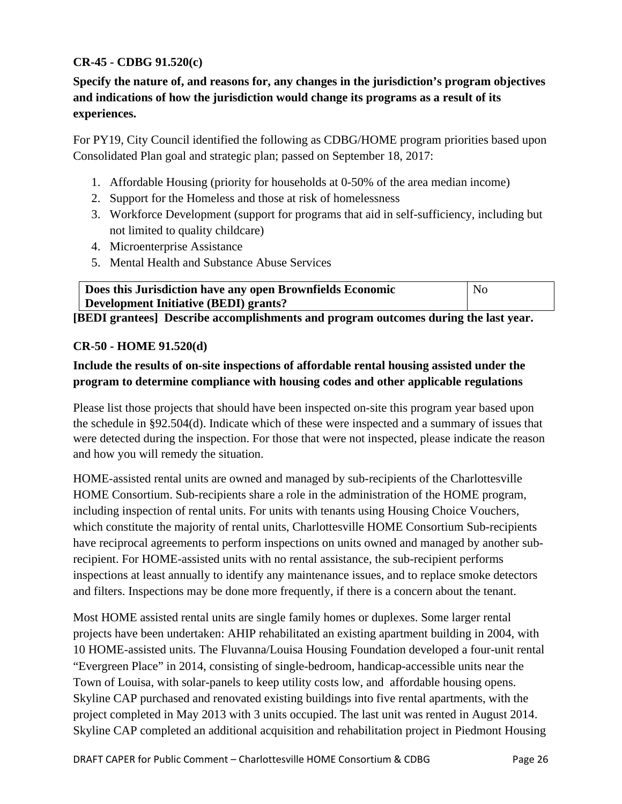## **CR-45 - CDBG 91.520(c)**

**Specify the nature of, and reasons for, any changes in the jurisdiction's program objectives and indications of how the jurisdiction would change its programs as a result of its experiences.**

For PY19, City Council identified the following as CDBG/HOME program priorities based upon Consolidated Plan goal and strategic plan; passed on September 18, 2017:

- 1. Affordable Housing (priority for households at 0-50% of the area median income)
- 2. Support for the Homeless and those at risk of homelessness
- 3. Workforce Development (support for programs that aid in self-sufficiency, including but not limited to quality childcare)
- 4. Microenterprise Assistance
- 5. Mental Health and Substance Abuse Services

| Does this Jurisdiction have any open Brownfields Economic | No |
|-----------------------------------------------------------|----|
| Development Initiative (BEDI) grants?                     |    |

**[BEDI grantees] Describe accomplishments and program outcomes during the last year.**

### **CR-50 - HOME 91.520(d)**

# **Include the results of on-site inspections of affordable rental housing assisted under the program to determine compliance with housing codes and other applicable regulations**

Please list those projects that should have been inspected on-site this program year based upon the schedule in §92.504(d). Indicate which of these were inspected and a summary of issues that were detected during the inspection. For those that were not inspected, please indicate the reason and how you will remedy the situation.

HOME-assisted rental units are owned and managed by sub-recipients of the Charlottesville HOME Consortium. Sub-recipients share a role in the administration of the HOME program, including inspection of rental units. For units with tenants using Housing Choice Vouchers, which constitute the majority of rental units, Charlottesville HOME Consortium Sub-recipients have reciprocal agreements to perform inspections on units owned and managed by another subrecipient. For HOME-assisted units with no rental assistance, the sub-recipient performs inspections at least annually to identify any maintenance issues, and to replace smoke detectors and filters. Inspections may be done more frequently, if there is a concern about the tenant.

Most HOME assisted rental units are single family homes or duplexes. Some larger rental projects have been undertaken: AHIP rehabilitated an existing apartment building in 2004, with 10 HOME-assisted units. The Fluvanna/Louisa Housing Foundation developed a four-unit rental "Evergreen Place" in 2014, consisting of single-bedroom, handicap-accessible units near the Town of Louisa, with solar-panels to keep utility costs low, and affordable housing opens. Skyline CAP purchased and renovated existing buildings into five rental apartments, with the project completed in May 2013 with 3 units occupied. The last unit was rented in August 2014. Skyline CAP completed an additional acquisition and rehabilitation project in Piedmont Housing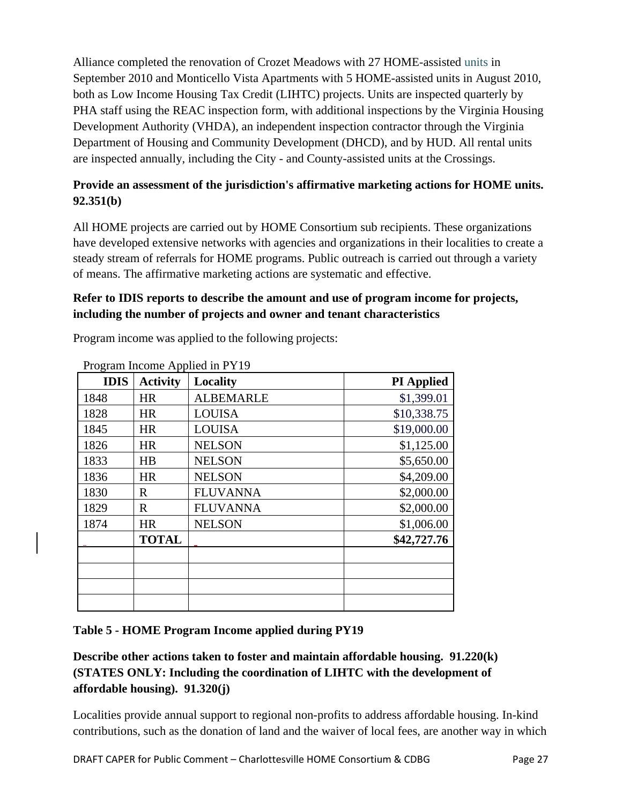Alliance completed the renovation of Crozet Meadows with 27 HOME-assisted units in September 2010 and Monticello Vista Apartments with 5 HOME-assisted units in August 2010, both as Low Income Housing Tax Credit (LIHTC) projects. Units are inspected quarterly by PHA staff using the REAC inspection form, with additional inspections by the Virginia Housing Development Authority (VHDA), an independent inspection contractor through the Virginia Department of Housing and Community Development (DHCD), and by HUD. All rental units are inspected annually, including the City - and County-assisted units at the Crossings.

# **Provide an assessment of the jurisdiction's affirmative marketing actions for HOME units. 92.351(b)**

All HOME projects are carried out by HOME Consortium sub recipients. These organizations have developed extensive networks with agencies and organizations in their localities to create a steady stream of referrals for HOME programs. Public outreach is carried out through a variety of means. The affirmative marketing actions are systematic and effective.

# **Refer to IDIS reports to describe the amount and use of program income for projects, including the number of projects and owner and tenant characteristics**

| Program Income Applied in PY19 |                 |                  |                   |
|--------------------------------|-----------------|------------------|-------------------|
| <b>IDIS</b>                    | <b>Activity</b> | Locality         | <b>PI</b> Applied |
| 1848                           | <b>HR</b>       | <b>ALBEMARLE</b> | \$1,399.01        |
| 1828                           | HR              | LOUISA           | \$10,338.75       |
| 1845                           | <b>HR</b>       | <b>LOUISA</b>    | \$19,000.00       |
| 1826                           | <b>HR</b>       | <b>NELSON</b>    | \$1,125.00        |
| 1833                           | HB              | <b>NELSON</b>    | \$5,650.00        |
| 1836                           | <b>HR</b>       | <b>NELSON</b>    | \$4,209.00        |
| 1830                           | R               | <b>FLUVANNA</b>  | \$2,000.00        |
| 1829                           | $\mathbf R$     | <b>FLUVANNA</b>  | \$2,000.00        |
| 1874                           | <b>HR</b>       | <b>NELSON</b>    | \$1,006.00        |
|                                | <b>TOTAL</b>    |                  | \$42,727.76       |
|                                |                 |                  |                   |
|                                |                 |                  |                   |
|                                |                 |                  |                   |
|                                |                 |                  |                   |

Program income was applied to the following projects:

### **Table 5 - HOME Program Income applied during PY19**

# **Describe other actions taken to foster and maintain affordable housing. 91.220(k) (STATES ONLY: Including the coordination of LIHTC with the development of affordable housing). 91.320(j)**

Localities provide annual support to regional non-profits to address affordable housing. In-kind contributions, such as the donation of land and the waiver of local fees, are another way in which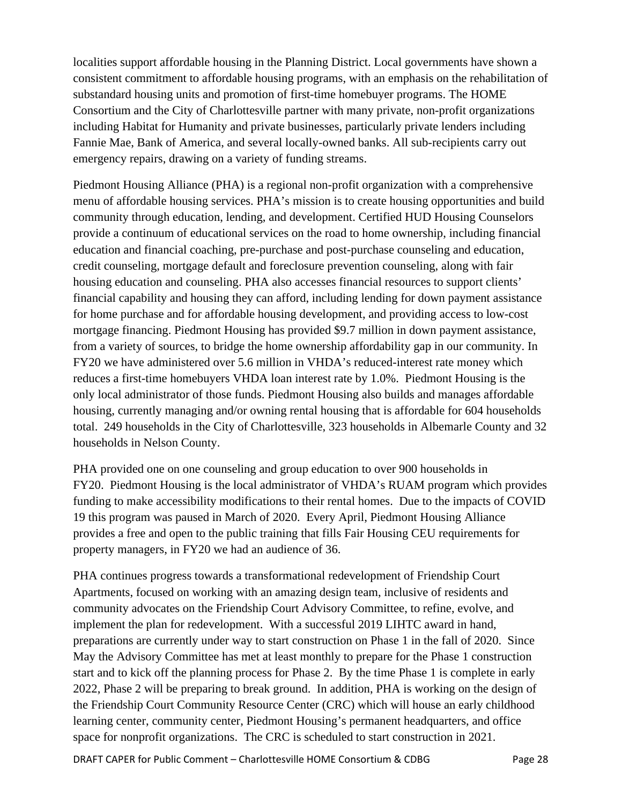localities support affordable housing in the Planning District. Local governments have shown a consistent commitment to affordable housing programs, with an emphasis on the rehabilitation of substandard housing units and promotion of first-time homebuyer programs. The HOME Consortium and the City of Charlottesville partner with many private, non-profit organizations including Habitat for Humanity and private businesses, particularly private lenders including Fannie Mae, Bank of America, and several locally-owned banks. All sub-recipients carry out emergency repairs, drawing on a variety of funding streams.

Piedmont Housing Alliance (PHA) is a regional non-profit organization with a comprehensive menu of affordable housing services. PHA's mission is to create housing opportunities and build community through education, lending, and development. Certified HUD Housing Counselors provide a continuum of educational services on the road to home ownership, including financial education and financial coaching, pre-purchase and post-purchase counseling and education, credit counseling, mortgage default and foreclosure prevention counseling, along with fair housing education and counseling. PHA also accesses financial resources to support clients' financial capability and housing they can afford, including lending for down payment assistance for home purchase and for affordable housing development, and providing access to low-cost mortgage financing. Piedmont Housing has provided \$9.7 million in down payment assistance, from a variety of sources, to bridge the home ownership affordability gap in our community. In FY20 we have administered over 5.6 million in VHDA's reduced-interest rate money which reduces a first-time homebuyers VHDA loan interest rate by 1.0%. Piedmont Housing is the only local administrator of those funds. Piedmont Housing also builds and manages affordable housing, currently managing and/or owning rental housing that is affordable for 604 households total. 249 households in the City of Charlottesville, 323 households in Albemarle County and 32 households in Nelson County.

PHA provided one on one counseling and group education to over 900 households in FY20. Piedmont Housing is the local administrator of VHDA's RUAM program which provides funding to make accessibility modifications to their rental homes. Due to the impacts of COVID 19 this program was paused in March of 2020. Every April, Piedmont Housing Alliance provides a free and open to the public training that fills Fair Housing CEU requirements for property managers, in FY20 we had an audience of 36.

PHA continues progress towards a transformational redevelopment of Friendship Court Apartments, focused on working with an amazing design team, inclusive of residents and community advocates on the Friendship Court Advisory Committee, to refine, evolve, and implement the plan for redevelopment. With a successful 2019 LIHTC award in hand, preparations are currently under way to start construction on Phase 1 in the fall of 2020. Since May the Advisory Committee has met at least monthly to prepare for the Phase 1 construction start and to kick off the planning process for Phase 2. By the time Phase 1 is complete in early 2022, Phase 2 will be preparing to break ground. In addition, PHA is working on the design of the Friendship Court Community Resource Center (CRC) which will house an early childhood learning center, community center, Piedmont Housing's permanent headquarters, and office space for nonprofit organizations. The CRC is scheduled to start construction in 2021.

DRAFT CAPER for Public Comment – Charlottesville HOME Consortium & CDBG Page 28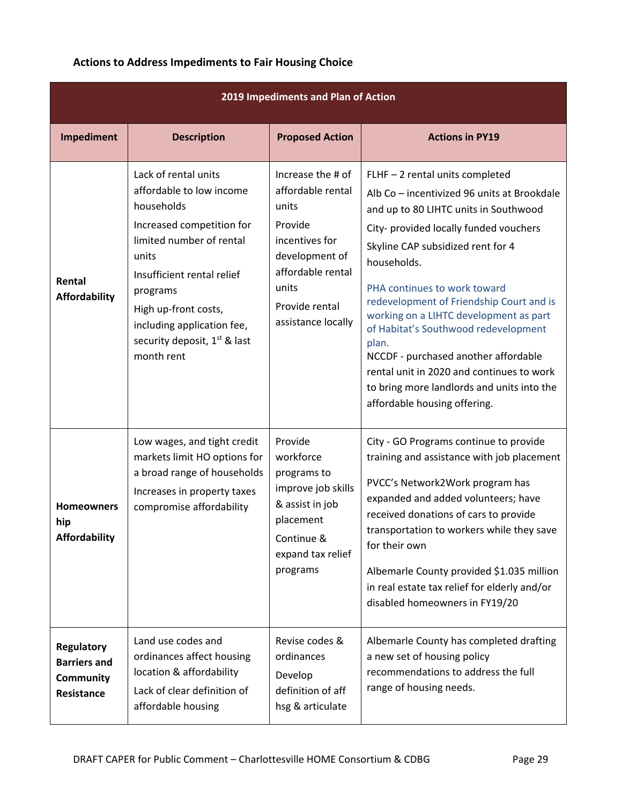|  |  | <b>Actions to Address Impediments to Fair Housing Choice</b> |  |  |
|--|--|--------------------------------------------------------------|--|--|
|--|--|--------------------------------------------------------------|--|--|

| 2019 Impediments and Plan of Action                                 |                                                                                                                                                                                                                                                                                            |                                                                                                                                                                      |                                                                                                                                                                                                                                                                                                                                                                                                                                                                                                                                                                 |  |
|---------------------------------------------------------------------|--------------------------------------------------------------------------------------------------------------------------------------------------------------------------------------------------------------------------------------------------------------------------------------------|----------------------------------------------------------------------------------------------------------------------------------------------------------------------|-----------------------------------------------------------------------------------------------------------------------------------------------------------------------------------------------------------------------------------------------------------------------------------------------------------------------------------------------------------------------------------------------------------------------------------------------------------------------------------------------------------------------------------------------------------------|--|
| Impediment                                                          | <b>Description</b>                                                                                                                                                                                                                                                                         | <b>Proposed Action</b>                                                                                                                                               | <b>Actions in PY19</b>                                                                                                                                                                                                                                                                                                                                                                                                                                                                                                                                          |  |
| Rental<br><b>Affordability</b>                                      | Lack of rental units<br>affordable to low income<br>households<br>Increased competition for<br>limited number of rental<br>units<br>Insufficient rental relief<br>programs<br>High up-front costs,<br>including application fee,<br>security deposit, 1 <sup>st</sup> & last<br>month rent | Increase the # of<br>affordable rental<br>units<br>Provide<br>incentives for<br>development of<br>affordable rental<br>units<br>Provide rental<br>assistance locally | FLHF - 2 rental units completed<br>Alb Co - incentivized 96 units at Brookdale<br>and up to 80 LIHTC units in Southwood<br>City- provided locally funded vouchers<br>Skyline CAP subsidized rent for 4<br>households.<br>PHA continues to work toward<br>redevelopment of Friendship Court and is<br>working on a LIHTC development as part<br>of Habitat's Southwood redevelopment<br>plan.<br>NCCDF - purchased another affordable<br>rental unit in 2020 and continues to work<br>to bring more landlords and units into the<br>affordable housing offering. |  |
| <b>Homeowners</b><br>hip<br><b>Affordability</b>                    | Low wages, and tight credit<br>markets limit HO options for<br>a broad range of households<br>Increases in property taxes<br>compromise affordability                                                                                                                                      | Provide<br>workforce<br>programs to<br>improve job skills<br>& assist in job<br>placement<br>Continue &<br>expand tax relief<br>programs                             | City - GO Programs continue to provide<br>training and assistance with job placement<br>PVCC's Network2Work program has<br>expanded and added volunteers; have<br>received donations of cars to provide<br>transportation to workers while they save<br>for their own<br>Albemarle County provided \$1.035 million<br>in real estate tax relief for elderly and/or<br>disabled homeowners in FY19/20                                                                                                                                                            |  |
| <b>Regulatory</b><br><b>Barriers and</b><br>Community<br>Resistance | Land use codes and<br>ordinances affect housing<br>location & affordability<br>Lack of clear definition of<br>affordable housing                                                                                                                                                           | Revise codes &<br>ordinances<br>Develop<br>definition of aff<br>hsg & articulate                                                                                     | Albemarle County has completed drafting<br>a new set of housing policy<br>recommendations to address the full<br>range of housing needs.                                                                                                                                                                                                                                                                                                                                                                                                                        |  |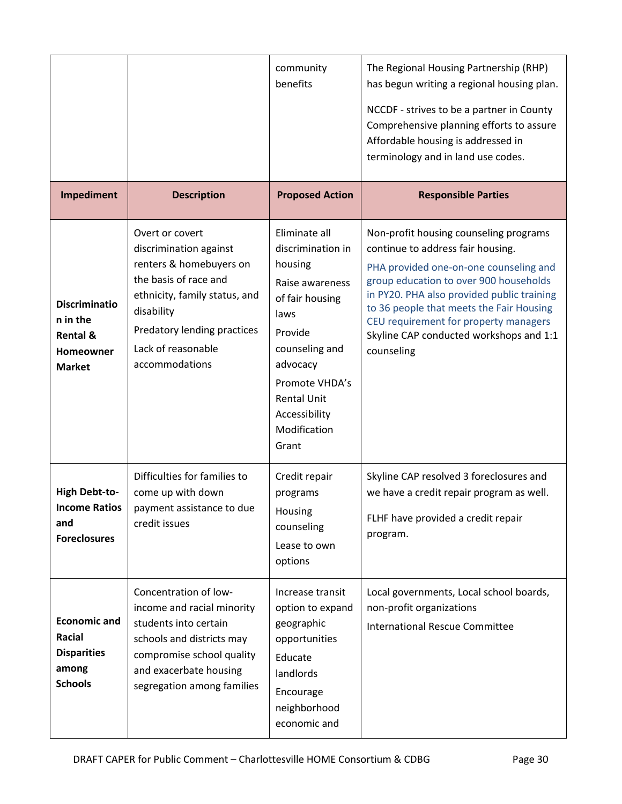|                                                                                              |                                                                                                                                                                                                                     | community<br>benefits                                                                                                                                                                                                  | The Regional Housing Partnership (RHP)<br>has begun writing a regional housing plan.<br>NCCDF - strives to be a partner in County<br>Comprehensive planning efforts to assure<br>Affordable housing is addressed in<br>terminology and in land use codes.                                                                                                   |
|----------------------------------------------------------------------------------------------|---------------------------------------------------------------------------------------------------------------------------------------------------------------------------------------------------------------------|------------------------------------------------------------------------------------------------------------------------------------------------------------------------------------------------------------------------|-------------------------------------------------------------------------------------------------------------------------------------------------------------------------------------------------------------------------------------------------------------------------------------------------------------------------------------------------------------|
| Impediment                                                                                   | <b>Description</b>                                                                                                                                                                                                  | <b>Proposed Action</b>                                                                                                                                                                                                 | <b>Responsible Parties</b>                                                                                                                                                                                                                                                                                                                                  |
| <b>Discriminatio</b><br>n in the<br><b>Rental &amp;</b><br><b>Homeowner</b><br><b>Market</b> | Overt or covert<br>discrimination against<br>renters & homebuyers on<br>the basis of race and<br>ethnicity, family status, and<br>disability<br>Predatory lending practices<br>Lack of reasonable<br>accommodations | Eliminate all<br>discrimination in<br>housing<br>Raise awareness<br>of fair housing<br>laws<br>Provide<br>counseling and<br>advocacy<br>Promote VHDA's<br><b>Rental Unit</b><br>Accessibility<br>Modification<br>Grant | Non-profit housing counseling programs<br>continue to address fair housing.<br>PHA provided one-on-one counseling and<br>group education to over 900 households<br>in PY20. PHA also provided public training<br>to 36 people that meets the Fair Housing<br>CEU requirement for property managers<br>Skyline CAP conducted workshops and 1:1<br>counseling |
| <b>High Debt-to-</b><br><b>Income Ratios</b><br>and<br><b>Foreclosures</b>                   | Difficulties for families to<br>come up with down<br>payment assistance to due<br>credit issues                                                                                                                     | Credit repair<br>programs<br>Housing<br>counseling<br>Lease to own<br>options                                                                                                                                          | Skyline CAP resolved 3 foreclosures and<br>we have a credit repair program as well.<br>FLHF have provided a credit repair<br>program.                                                                                                                                                                                                                       |
| <b>Economic and</b><br>Racial<br><b>Disparities</b><br>among<br><b>Schools</b>               | Concentration of low-<br>income and racial minority<br>students into certain<br>schools and districts may<br>compromise school quality<br>and exacerbate housing<br>segregation among families                      | Increase transit<br>option to expand<br>geographic<br>opportunities<br>Educate<br>landlords<br>Encourage<br>neighborhood<br>economic and                                                                               | Local governments, Local school boards,<br>non-profit organizations<br><b>International Rescue Committee</b>                                                                                                                                                                                                                                                |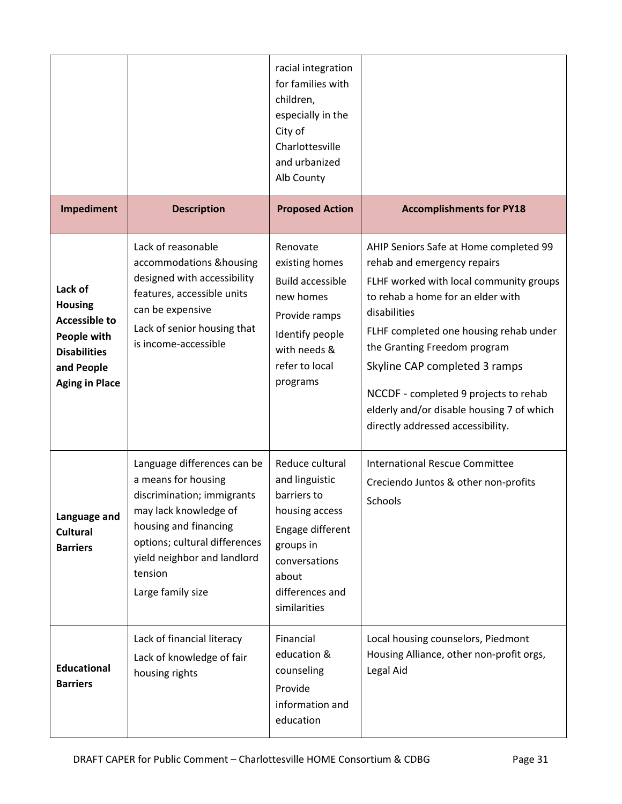| Impediment                                                                                                                     | <b>Description</b>                                                                                                                                                                                                                 | racial integration<br>for families with<br>children,<br>especially in the<br>City of<br>Charlottesville<br>and urbanized<br>Alb County<br><b>Proposed Action</b> | <b>Accomplishments for PY18</b>                                                                                                                                                                                                                                                                                                                                                                             |
|--------------------------------------------------------------------------------------------------------------------------------|------------------------------------------------------------------------------------------------------------------------------------------------------------------------------------------------------------------------------------|------------------------------------------------------------------------------------------------------------------------------------------------------------------|-------------------------------------------------------------------------------------------------------------------------------------------------------------------------------------------------------------------------------------------------------------------------------------------------------------------------------------------------------------------------------------------------------------|
|                                                                                                                                |                                                                                                                                                                                                                                    |                                                                                                                                                                  |                                                                                                                                                                                                                                                                                                                                                                                                             |
| Lack of<br><b>Housing</b><br><b>Accessible to</b><br>People with<br><b>Disabilities</b><br>and People<br><b>Aging in Place</b> | Lack of reasonable<br>accommodations & housing<br>designed with accessibility<br>features, accessible units<br>can be expensive<br>Lack of senior housing that<br>is income-accessible                                             | Renovate<br>existing homes<br><b>Build accessible</b><br>new homes<br>Provide ramps<br>Identify people<br>with needs &<br>refer to local<br>programs             | AHIP Seniors Safe at Home completed 99<br>rehab and emergency repairs<br>FLHF worked with local community groups<br>to rehab a home for an elder with<br>disabilities<br>FLHF completed one housing rehab under<br>the Granting Freedom program<br>Skyline CAP completed 3 ramps<br>NCCDF - completed 9 projects to rehab<br>elderly and/or disable housing 7 of which<br>directly addressed accessibility. |
| Language and<br><b>Cultural</b><br><b>Barriers</b>                                                                             | Language differences can be<br>a means for housing<br>discrimination; immigrants<br>may lack knowledge of<br>housing and financing<br>options; cultural differences<br>yield neighbor and landlord<br>tension<br>Large family size | Reduce cultural<br>and linguistic<br>barriers to<br>housing access<br>Engage different<br>groups in<br>conversations<br>about<br>differences and<br>similarities | <b>International Rescue Committee</b><br>Creciendo Juntos & other non-profits<br>Schools                                                                                                                                                                                                                                                                                                                    |
| <b>Educational</b><br><b>Barriers</b>                                                                                          | Lack of financial literacy<br>Lack of knowledge of fair<br>housing rights                                                                                                                                                          | Financial<br>education &<br>counseling<br>Provide<br>information and<br>education                                                                                | Local housing counselors, Piedmont<br>Housing Alliance, other non-profit orgs,<br>Legal Aid                                                                                                                                                                                                                                                                                                                 |